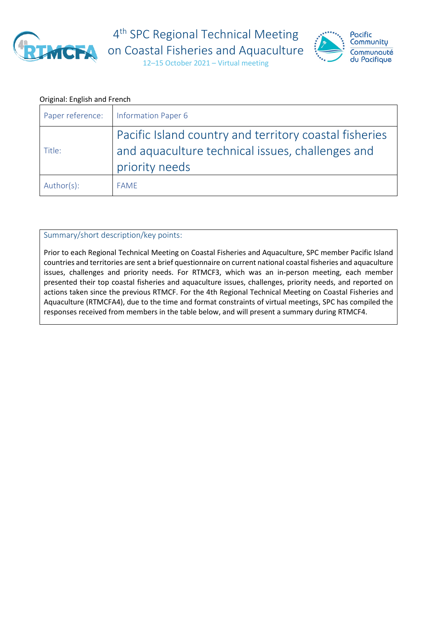

4<sup>th</sup> SPC Regional Technical Meeting **ACEA** on Coastal Fisheries and Aquaculture



12–15 October 2021 – Virtual meeting

#### Original: English and French

| Paper reference: | <b>Information Paper 6</b>                                                                                                   |
|------------------|------------------------------------------------------------------------------------------------------------------------------|
| Title:           | Pacific Island country and territory coastal fisheries<br>and aquaculture technical issues, challenges and<br>priority needs |
| Author(s):       | <b>FAME</b>                                                                                                                  |

### Summary/short description/key points:

Prior to each Regional Technical Meeting on Coastal Fisheries and Aquaculture, SPC member Pacific Island countries and territories are sent a brief questionnaire on current national coastal fisheries and aquaculture issues, challenges and priority needs. For RTMCF3, which was an in-person meeting, each member presented their top coastal fisheries and aquaculture issues, challenges, priority needs, and reported on actions taken since the previous RTMCF. For the 4th Regional Technical Meeting on Coastal Fisheries and Aquaculture (RTMCFA4), due to the time and format constraints of virtual meetings, SPC has compiled the responses received from members in the table below, and will present a summary during RTMCF4.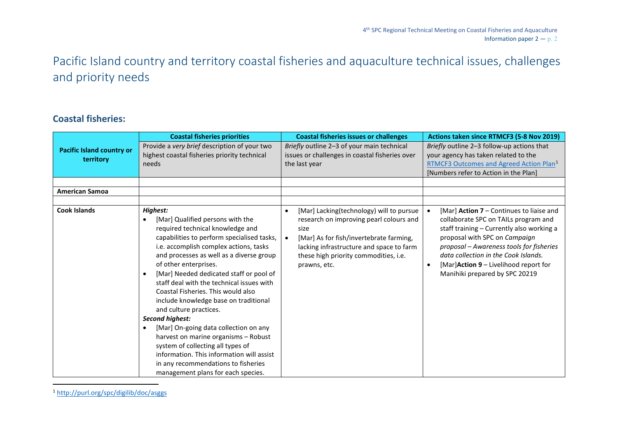# <span id="page-1-0"></span>Pacific Island country and territory coastal fisheries and aquaculture technical issues, challenges and priority needs

### **Coastal fisheries:**

<sup>1</sup> <http://purl.org/spc/digilib/doc/asggs>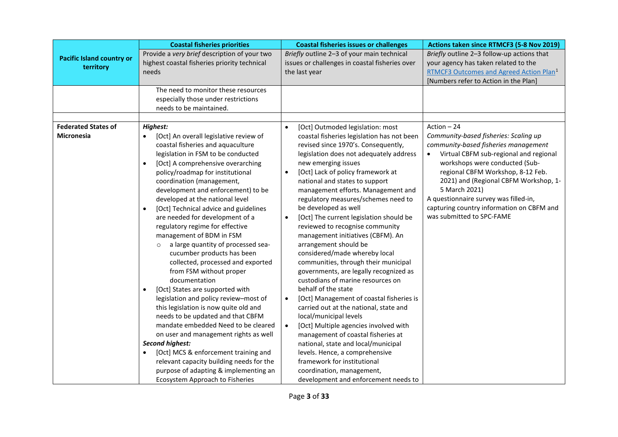|                                                 | <b>Coastal fisheries priorities</b>                                                                                                                                                                                                                                                                                                                                                                                                                                                                                                                                                                                                                                                                                                                                                                                                                                                                                                                                                                                                                                      | <b>Coastal fisheries issues or challenges</b>                                                                                                                                                                                                                                                                                                                                                                                                                                                                                                                                                                                                                                                                                                                                                                                                                                                                                                                                                                                                                                                                                               | Actions taken since RTMCF3 (5-8 Nov 2019)                                                                                                                                                                                                                                                                                                                                                   |
|-------------------------------------------------|--------------------------------------------------------------------------------------------------------------------------------------------------------------------------------------------------------------------------------------------------------------------------------------------------------------------------------------------------------------------------------------------------------------------------------------------------------------------------------------------------------------------------------------------------------------------------------------------------------------------------------------------------------------------------------------------------------------------------------------------------------------------------------------------------------------------------------------------------------------------------------------------------------------------------------------------------------------------------------------------------------------------------------------------------------------------------|---------------------------------------------------------------------------------------------------------------------------------------------------------------------------------------------------------------------------------------------------------------------------------------------------------------------------------------------------------------------------------------------------------------------------------------------------------------------------------------------------------------------------------------------------------------------------------------------------------------------------------------------------------------------------------------------------------------------------------------------------------------------------------------------------------------------------------------------------------------------------------------------------------------------------------------------------------------------------------------------------------------------------------------------------------------------------------------------------------------------------------------------|---------------------------------------------------------------------------------------------------------------------------------------------------------------------------------------------------------------------------------------------------------------------------------------------------------------------------------------------------------------------------------------------|
| <b>Pacific Island country or</b><br>territory   | Provide a very brief description of your two<br>highest coastal fisheries priority technical<br>needs                                                                                                                                                                                                                                                                                                                                                                                                                                                                                                                                                                                                                                                                                                                                                                                                                                                                                                                                                                    | Briefly outline 2-3 of your main technical<br>issues or challenges in coastal fisheries over<br>the last year                                                                                                                                                                                                                                                                                                                                                                                                                                                                                                                                                                                                                                                                                                                                                                                                                                                                                                                                                                                                                               | Briefly outline 2-3 follow-up actions that<br>your agency has taken related to the<br>RTMCF3 Outcomes and Agreed Action Plan <sup>1</sup><br>[Numbers refer to Action in the Plan]                                                                                                                                                                                                          |
|                                                 | The need to monitor these resources<br>especially those under restrictions<br>needs to be maintained.                                                                                                                                                                                                                                                                                                                                                                                                                                                                                                                                                                                                                                                                                                                                                                                                                                                                                                                                                                    |                                                                                                                                                                                                                                                                                                                                                                                                                                                                                                                                                                                                                                                                                                                                                                                                                                                                                                                                                                                                                                                                                                                                             |                                                                                                                                                                                                                                                                                                                                                                                             |
|                                                 |                                                                                                                                                                                                                                                                                                                                                                                                                                                                                                                                                                                                                                                                                                                                                                                                                                                                                                                                                                                                                                                                          |                                                                                                                                                                                                                                                                                                                                                                                                                                                                                                                                                                                                                                                                                                                                                                                                                                                                                                                                                                                                                                                                                                                                             |                                                                                                                                                                                                                                                                                                                                                                                             |
| <b>Federated States of</b><br><b>Micronesia</b> | <b>Highest:</b><br>[Oct] An overall legislative review of<br>coastal fisheries and aquaculture<br>legislation in FSM to be conducted<br>[Oct] A comprehensive overarching<br>policy/roadmap for institutional<br>coordination (management,<br>development and enforcement) to be<br>developed at the national level<br>[Oct] Technical advice and guidelines<br>are needed for development of a<br>regulatory regime for effective<br>management of BDM in FSM<br>a large quantity of processed sea-<br>$\circ$<br>cucumber products has been<br>collected, processed and exported<br>from FSM without proper<br>documentation<br>[Oct] States are supported with<br>$\bullet$<br>legislation and policy review-most of<br>this legislation is now quite old and<br>needs to be updated and that CBFM<br>mandate embedded Need to be cleared<br>on user and management rights as well<br>Second highest:<br>[Oct] MCS & enforcement training and<br>relevant capacity building needs for the<br>purpose of adapting & implementing an<br>Ecosystem Approach to Fisheries | [Oct] Outmoded legislation: most<br>$\bullet$<br>coastal fisheries legislation has not been<br>revised since 1970's. Consequently,<br>legislation does not adequately address<br>new emerging issues<br>[Oct] Lack of policy framework at<br>$\bullet$<br>national and states to support<br>management efforts. Management and<br>regulatory measures/schemes need to<br>be developed as well<br>[Oct] The current legislation should be<br>$\bullet$<br>reviewed to recognise community<br>management initiatives (CBFM). An<br>arrangement should be<br>considered/made whereby local<br>communities, through their municipal<br>governments, are legally recognized as<br>custodians of marine resources on<br>behalf of the state<br>[Oct] Management of coastal fisheries is<br>$\bullet$<br>carried out at the national, state and<br>local/municipal levels<br>[Oct] Multiple agencies involved with<br>$\bullet$<br>management of coastal fisheries at<br>national, state and local/municipal<br>levels. Hence, a comprehensive<br>framework for institutional<br>coordination, management,<br>development and enforcement needs to | Action $-24$<br>Community-based fisheries: Scaling up<br>community-based fisheries management<br>Virtual CBFM sub-regional and regional<br>workshops were conducted (Sub-<br>regional CBFM Workshop, 8-12 Feb.<br>2021) and (Regional CBFM Workshop, 1-<br>5 March 2021)<br>A questionnaire survey was filled-in,<br>capturing country information on CBFM and<br>was submitted to SPC-FAME |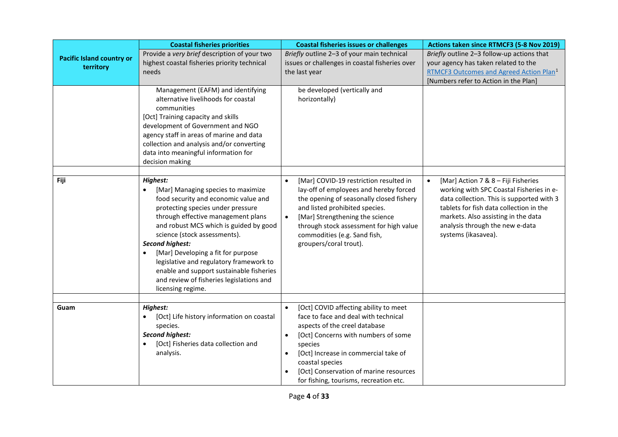|                                               | <b>Coastal fisheries priorities</b>                                                                                                                                                                                                                                                                                                                                                                                                                                              | <b>Coastal fisheries issues or challenges</b>                                                                                                                                                                                                                                                                                                          | Actions taken since RTMCF3 (5-8 Nov 2019)                                                                                                                                                                                                                                             |
|-----------------------------------------------|----------------------------------------------------------------------------------------------------------------------------------------------------------------------------------------------------------------------------------------------------------------------------------------------------------------------------------------------------------------------------------------------------------------------------------------------------------------------------------|--------------------------------------------------------------------------------------------------------------------------------------------------------------------------------------------------------------------------------------------------------------------------------------------------------------------------------------------------------|---------------------------------------------------------------------------------------------------------------------------------------------------------------------------------------------------------------------------------------------------------------------------------------|
| <b>Pacific Island country or</b><br>territory | Provide a very brief description of your two<br>highest coastal fisheries priority technical<br>needs                                                                                                                                                                                                                                                                                                                                                                            | Briefly outline 2-3 of your main technical<br>issues or challenges in coastal fisheries over<br>the last year                                                                                                                                                                                                                                          | Briefly outline 2-3 follow-up actions that<br>your agency has taken related to the<br>RTMCF3 Outcomes and Agreed Action Plan <sup>1</sup><br>[Numbers refer to Action in the Plan]                                                                                                    |
|                                               | Management (EAFM) and identifying<br>alternative livelihoods for coastal<br>communities<br>[Oct] Training capacity and skills<br>development of Government and NGO<br>agency staff in areas of marine and data<br>collection and analysis and/or converting<br>data into meaningful information for<br>decision making                                                                                                                                                           | be developed (vertically and<br>horizontally)                                                                                                                                                                                                                                                                                                          |                                                                                                                                                                                                                                                                                       |
|                                               |                                                                                                                                                                                                                                                                                                                                                                                                                                                                                  |                                                                                                                                                                                                                                                                                                                                                        |                                                                                                                                                                                                                                                                                       |
| Fiji                                          | Highest:<br>[Mar] Managing species to maximize<br>food security and economic value and<br>protecting species under pressure<br>through effective management plans<br>and robust MCS which is guided by good<br>science (stock assessments).<br><b>Second highest:</b><br>[Mar] Developing a fit for purpose<br>$\bullet$<br>legislative and regulatory framework to<br>enable and support sustainable fisheries<br>and review of fisheries legislations and<br>licensing regime. | [Mar] COVID-19 restriction resulted in<br>$\bullet$<br>lay-off of employees and hereby forced<br>the opening of seasonally closed fishery<br>and listed prohibited species.<br>[Mar] Strengthening the science<br>$\bullet$<br>through stock assessment for high value<br>commodities (e.g. Sand fish,<br>groupers/coral trout).                       | [Mar] Action 7 & 8 - Fiji Fisheries<br>$\bullet$<br>working with SPC Coastal Fisheries in e-<br>data collection. This is supported with 3<br>tablets for fish data collection in the<br>markets. Also assisting in the data<br>analysis through the new e-data<br>systems (ikasavea). |
|                                               |                                                                                                                                                                                                                                                                                                                                                                                                                                                                                  |                                                                                                                                                                                                                                                                                                                                                        |                                                                                                                                                                                                                                                                                       |
| Guam                                          | Highest:<br>[Oct] Life history information on coastal<br>species.<br><b>Second highest:</b><br>[Oct] Fisheries data collection and<br>analysis.                                                                                                                                                                                                                                                                                                                                  | [Oct] COVID affecting ability to meet<br>$\bullet$<br>face to face and deal with technical<br>aspects of the creel database<br>[Oct] Concerns with numbers of some<br>$\bullet$<br>species<br>[Oct] Increase in commercial take of<br>$\bullet$<br>coastal species<br>[Oct] Conservation of marine resources<br>for fishing, tourisms, recreation etc. |                                                                                                                                                                                                                                                                                       |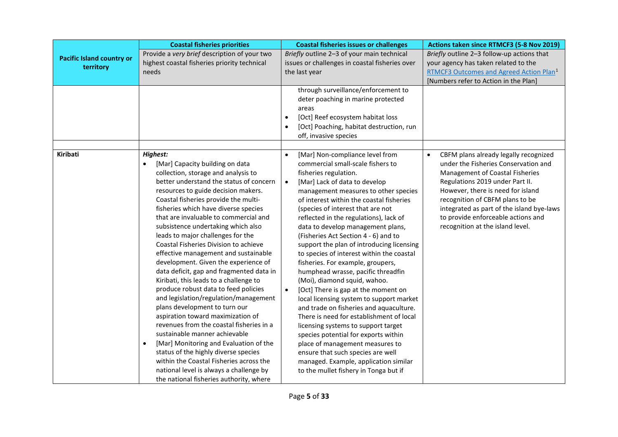|                                               | <b>Coastal fisheries priorities</b>                                                                                                                                                                                                                                                                                                                                                                                                                                                                                                                                                                                                                                                                                                                                                                                                                                                                                                                                                                                                                                             | <b>Coastal fisheries issues or challenges</b>                                                                                                                                                                                                                                                                                                                                                                                                                                                                                                                                                                                                                                                                                                                                                                                                                                                                                                                                                                                                 | Actions taken since RTMCF3 (5-8 Nov 2019)                                                                                                                                                                                                                                                                                                                              |
|-----------------------------------------------|---------------------------------------------------------------------------------------------------------------------------------------------------------------------------------------------------------------------------------------------------------------------------------------------------------------------------------------------------------------------------------------------------------------------------------------------------------------------------------------------------------------------------------------------------------------------------------------------------------------------------------------------------------------------------------------------------------------------------------------------------------------------------------------------------------------------------------------------------------------------------------------------------------------------------------------------------------------------------------------------------------------------------------------------------------------------------------|-----------------------------------------------------------------------------------------------------------------------------------------------------------------------------------------------------------------------------------------------------------------------------------------------------------------------------------------------------------------------------------------------------------------------------------------------------------------------------------------------------------------------------------------------------------------------------------------------------------------------------------------------------------------------------------------------------------------------------------------------------------------------------------------------------------------------------------------------------------------------------------------------------------------------------------------------------------------------------------------------------------------------------------------------|------------------------------------------------------------------------------------------------------------------------------------------------------------------------------------------------------------------------------------------------------------------------------------------------------------------------------------------------------------------------|
| <b>Pacific Island country or</b><br>territory | Provide a very brief description of your two<br>highest coastal fisheries priority technical<br>needs                                                                                                                                                                                                                                                                                                                                                                                                                                                                                                                                                                                                                                                                                                                                                                                                                                                                                                                                                                           | Briefly outline 2-3 of your main technical<br>issues or challenges in coastal fisheries over<br>the last year                                                                                                                                                                                                                                                                                                                                                                                                                                                                                                                                                                                                                                                                                                                                                                                                                                                                                                                                 | Briefly outline 2-3 follow-up actions that<br>your agency has taken related to the<br>RTMCF3 Outcomes and Agreed Action Plan <sup>1</sup><br>[Numbers refer to Action in the Plan]                                                                                                                                                                                     |
|                                               |                                                                                                                                                                                                                                                                                                                                                                                                                                                                                                                                                                                                                                                                                                                                                                                                                                                                                                                                                                                                                                                                                 | through surveillance/enforcement to<br>deter poaching in marine protected<br>areas<br>[Oct] Reef ecosystem habitat loss<br>$\bullet$<br>[Oct] Poaching, habitat destruction, run<br>off, invasive species                                                                                                                                                                                                                                                                                                                                                                                                                                                                                                                                                                                                                                                                                                                                                                                                                                     |                                                                                                                                                                                                                                                                                                                                                                        |
| <b>Kiribati</b>                               | <b>Highest:</b><br>[Mar] Capacity building on data<br>$\bullet$<br>collection, storage and analysis to<br>better understand the status of concern<br>resources to guide decision makers.<br>Coastal fisheries provide the multi-<br>fisheries which have diverse species<br>that are invaluable to commercial and<br>subsistence undertaking which also<br>leads to major challenges for the<br>Coastal Fisheries Division to achieve<br>effective management and sustainable<br>development. Given the experience of<br>data deficit, gap and fragmented data in<br>Kiribati, this leads to a challenge to<br>produce robust data to feed policies<br>and legislation/regulation/management<br>plans development to turn our<br>aspiration toward maximization of<br>revenues from the coastal fisheries in a<br>sustainable manner achievable<br>[Mar] Monitoring and Evaluation of the<br>$\bullet$<br>status of the highly diverse species<br>within the Coastal Fisheries across the<br>national level is always a challenge by<br>the national fisheries authority, where | [Mar] Non-compliance level from<br>$\bullet$<br>commercial small-scale fishers to<br>fisheries regulation.<br>[Mar] Lack of data to develop<br>$\bullet$<br>management measures to other species<br>of interest within the coastal fisheries<br>(species of interest that are not<br>reflected in the regulations), lack of<br>data to develop management plans,<br>(Fisheries Act Section 4 - 6) and to<br>support the plan of introducing licensing<br>to species of interest within the coastal<br>fisheries. For example, groupers,<br>humphead wrasse, pacific threadfin<br>(Moi), diamond squid, wahoo.<br>[Oct] There is gap at the moment on<br>$\bullet$<br>local licensing system to support market<br>and trade on fisheries and aquaculture.<br>There is need for establishment of local<br>licensing systems to support target<br>species potential for exports within<br>place of management measures to<br>ensure that such species are well<br>managed. Example, application similar<br>to the mullet fishery in Tonga but if | CBFM plans already legally recognized<br>$\bullet$<br>under the Fisheries Conservation and<br><b>Management of Coastal Fisheries</b><br>Regulations 2019 under Part II.<br>However, there is need for island<br>recognition of CBFM plans to be<br>integrated as part of the island bye-laws<br>to provide enforceable actions and<br>recognition at the island level. |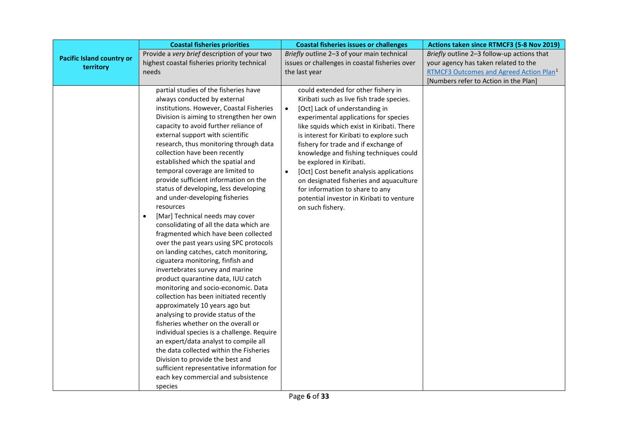|                                               | <b>Coastal fisheries priorities</b>                                                                                                                                                                                                                                                                                                                                                                                                                                                                                                                                                                                                                                                                                                                                                                                                                                                                                                                                                                                                                                                                                                                                                                                                                                                                                                       | <b>Coastal fisheries issues or challenges</b>                                                                                                                                                                                                                                                                                                                                                                                                                                                                                                                                            | Actions taken since RTMCF3 (5-8 Nov 2019)                                                                                                                                          |
|-----------------------------------------------|-------------------------------------------------------------------------------------------------------------------------------------------------------------------------------------------------------------------------------------------------------------------------------------------------------------------------------------------------------------------------------------------------------------------------------------------------------------------------------------------------------------------------------------------------------------------------------------------------------------------------------------------------------------------------------------------------------------------------------------------------------------------------------------------------------------------------------------------------------------------------------------------------------------------------------------------------------------------------------------------------------------------------------------------------------------------------------------------------------------------------------------------------------------------------------------------------------------------------------------------------------------------------------------------------------------------------------------------|------------------------------------------------------------------------------------------------------------------------------------------------------------------------------------------------------------------------------------------------------------------------------------------------------------------------------------------------------------------------------------------------------------------------------------------------------------------------------------------------------------------------------------------------------------------------------------------|------------------------------------------------------------------------------------------------------------------------------------------------------------------------------------|
| <b>Pacific Island country or</b><br>territory | Provide a very brief description of your two<br>highest coastal fisheries priority technical<br>needs                                                                                                                                                                                                                                                                                                                                                                                                                                                                                                                                                                                                                                                                                                                                                                                                                                                                                                                                                                                                                                                                                                                                                                                                                                     | Briefly outline 2-3 of your main technical<br>issues or challenges in coastal fisheries over<br>the last year                                                                                                                                                                                                                                                                                                                                                                                                                                                                            | Briefly outline 2-3 follow-up actions that<br>your agency has taken related to the<br>RTMCF3 Outcomes and Agreed Action Plan <sup>1</sup><br>[Numbers refer to Action in the Plan] |
|                                               | partial studies of the fisheries have<br>always conducted by external<br>institutions. However, Coastal Fisheries<br>Division is aiming to strengthen her own<br>capacity to avoid further reliance of<br>external support with scientific<br>research, thus monitoring through data<br>collection have been recently<br>established which the spatial and<br>temporal coverage are limited to<br>provide sufficient information on the<br>status of developing, less developing<br>and under-developing fisheries<br>resources<br>[Mar] Technical needs may cover<br>$\bullet$<br>consolidating of all the data which are<br>fragmented which have been collected<br>over the past years using SPC protocols<br>on landing catches, catch monitoring,<br>ciguatera monitoring, finfish and<br>invertebrates survey and marine<br>product quarantine data, IUU catch<br>monitoring and socio-economic. Data<br>collection has been initiated recently<br>approximately 10 years ago but<br>analysing to provide status of the<br>fisheries whether on the overall or<br>individual species is a challenge. Require<br>an expert/data analyst to compile all<br>the data collected within the Fisheries<br>Division to provide the best and<br>sufficient representative information for<br>each key commercial and subsistence<br>species | could extended for other fishery in<br>Kiribati such as live fish trade species.<br>$\bullet$<br>[Oct] Lack of understanding in<br>experimental applications for species<br>like squids which exist in Kiribati. There<br>is interest for Kiribati to explore such<br>fishery for trade and if exchange of<br>knowledge and fishing techniques could<br>be explored in Kiribati.<br>[Oct] Cost benefit analysis applications<br>$\bullet$<br>on designated fisheries and aquaculture<br>for information to share to any<br>potential investor in Kiribati to venture<br>on such fishery. |                                                                                                                                                                                    |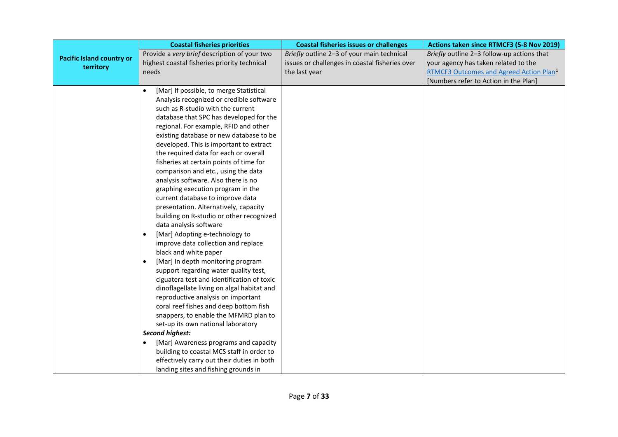|                                  | <b>Coastal fisheries priorities</b>            | <b>Coastal fisheries issues or challenges</b>  | Actions taken since RTMCF3 (5-8 Nov 2019)           |
|----------------------------------|------------------------------------------------|------------------------------------------------|-----------------------------------------------------|
| <b>Pacific Island country or</b> | Provide a very brief description of your two   | Briefly outline 2-3 of your main technical     | Briefly outline 2-3 follow-up actions that          |
| territory                        | highest coastal fisheries priority technical   | issues or challenges in coastal fisheries over | your agency has taken related to the                |
|                                  | needs                                          | the last year                                  | RTMCF3 Outcomes and Agreed Action Plan <sup>1</sup> |
|                                  |                                                |                                                | [Numbers refer to Action in the Plan]               |
|                                  | [Mar] If possible, to merge Statistical        |                                                |                                                     |
|                                  | Analysis recognized or credible software       |                                                |                                                     |
|                                  | such as R-studio with the current              |                                                |                                                     |
|                                  | database that SPC has developed for the        |                                                |                                                     |
|                                  | regional. For example, RFID and other          |                                                |                                                     |
|                                  | existing database or new database to be        |                                                |                                                     |
|                                  | developed. This is important to extract        |                                                |                                                     |
|                                  | the required data for each or overall          |                                                |                                                     |
|                                  | fisheries at certain points of time for        |                                                |                                                     |
|                                  | comparison and etc., using the data            |                                                |                                                     |
|                                  | analysis software. Also there is no            |                                                |                                                     |
|                                  | graphing execution program in the              |                                                |                                                     |
|                                  | current database to improve data               |                                                |                                                     |
|                                  | presentation. Alternatively, capacity          |                                                |                                                     |
|                                  | building on R-studio or other recognized       |                                                |                                                     |
|                                  | data analysis software                         |                                                |                                                     |
|                                  | [Mar] Adopting e-technology to<br>$\bullet$    |                                                |                                                     |
|                                  | improve data collection and replace            |                                                |                                                     |
|                                  | black and white paper                          |                                                |                                                     |
|                                  | [Mar] In depth monitoring program<br>$\bullet$ |                                                |                                                     |
|                                  | support regarding water quality test,          |                                                |                                                     |
|                                  | ciguatera test and identification of toxic     |                                                |                                                     |
|                                  | dinoflagellate living on algal habitat and     |                                                |                                                     |
|                                  | reproductive analysis on important             |                                                |                                                     |
|                                  | coral reef fishes and deep bottom fish         |                                                |                                                     |
|                                  | snappers, to enable the MFMRD plan to          |                                                |                                                     |
|                                  | set-up its own national laboratory             |                                                |                                                     |
|                                  | <b>Second highest:</b>                         |                                                |                                                     |
|                                  | [Mar] Awareness programs and capacity          |                                                |                                                     |
|                                  | building to coastal MCS staff in order to      |                                                |                                                     |
|                                  | effectively carry out their duties in both     |                                                |                                                     |
|                                  | landing sites and fishing grounds in           |                                                |                                                     |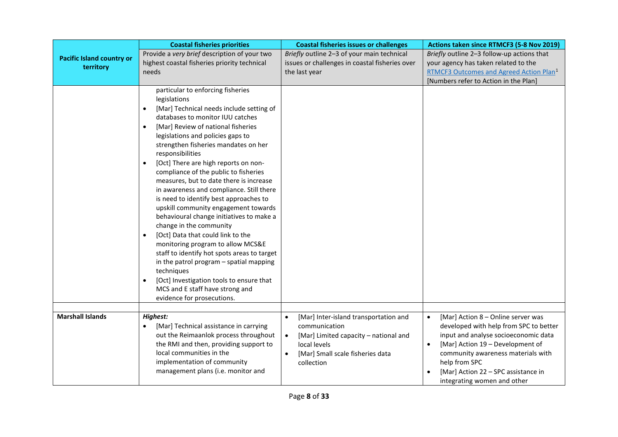|                                               | <b>Coastal fisheries priorities</b>                                                                                                                                                                                                                                                                                                                                                                                                                                                                                                                                                                                                                                                                                                                                                                                                                                                                                                                          | <b>Coastal fisheries issues or challenges</b>                                                                                                                                               | Actions taken since RTMCF3 (5-8 Nov 2019)                                                                                                                                                                                                                                                                       |
|-----------------------------------------------|--------------------------------------------------------------------------------------------------------------------------------------------------------------------------------------------------------------------------------------------------------------------------------------------------------------------------------------------------------------------------------------------------------------------------------------------------------------------------------------------------------------------------------------------------------------------------------------------------------------------------------------------------------------------------------------------------------------------------------------------------------------------------------------------------------------------------------------------------------------------------------------------------------------------------------------------------------------|---------------------------------------------------------------------------------------------------------------------------------------------------------------------------------------------|-----------------------------------------------------------------------------------------------------------------------------------------------------------------------------------------------------------------------------------------------------------------------------------------------------------------|
| <b>Pacific Island country or</b><br>territory | Provide a very brief description of your two<br>highest coastal fisheries priority technical<br>needs                                                                                                                                                                                                                                                                                                                                                                                                                                                                                                                                                                                                                                                                                                                                                                                                                                                        | Briefly outline 2-3 of your main technical<br>issues or challenges in coastal fisheries over<br>the last year                                                                               | Briefly outline 2-3 follow-up actions that<br>your agency has taken related to the<br>RTMCF3 Outcomes and Agreed Action Plan <sup>1</sup><br>[Numbers refer to Action in the Plan]                                                                                                                              |
|                                               | particular to enforcing fisheries<br>legislations<br>[Mar] Technical needs include setting of<br>$\bullet$<br>databases to monitor IUU catches<br>[Mar] Review of national fisheries<br>$\bullet$<br>legislations and policies gaps to<br>strengthen fisheries mandates on her<br>responsibilities<br>[Oct] There are high reports on non-<br>compliance of the public to fisheries<br>measures, but to date there is increase<br>in awareness and compliance. Still there<br>is need to identify best approaches to<br>upskill community engagement towards<br>behavioural change initiatives to make a<br>change in the community<br>[Oct] Data that could link to the<br>$\bullet$<br>monitoring program to allow MCS&E<br>staff to identify hot spots areas to target<br>in the patrol program - spatial mapping<br>techniques<br>[Oct] Investigation tools to ensure that<br>$\bullet$<br>MCS and E staff have strong and<br>evidence for prosecutions. |                                                                                                                                                                                             |                                                                                                                                                                                                                                                                                                                 |
| <b>Marshall Islands</b>                       | Highest:<br>[Mar] Technical assistance in carrying<br>٠<br>out the Reimaanlok process throughout<br>the RMI and then, providing support to<br>local communities in the<br>implementation of community<br>management plans (i.e. monitor and                                                                                                                                                                                                                                                                                                                                                                                                                                                                                                                                                                                                                                                                                                                  | [Mar] Inter-island transportation and<br>$\bullet$<br>communication<br>[Mar] Limited capacity - national and<br>$\bullet$<br>local levels<br>[Mar] Small scale fisheries data<br>collection | [Mar] Action 8 - Online server was<br>$\bullet$<br>developed with help from SPC to better<br>input and analyse socioeconomic data<br>[Mar] Action 19 - Development of<br>$\bullet$<br>community awareness materials with<br>help from SPC<br>[Mar] Action 22 - SPC assistance in<br>integrating women and other |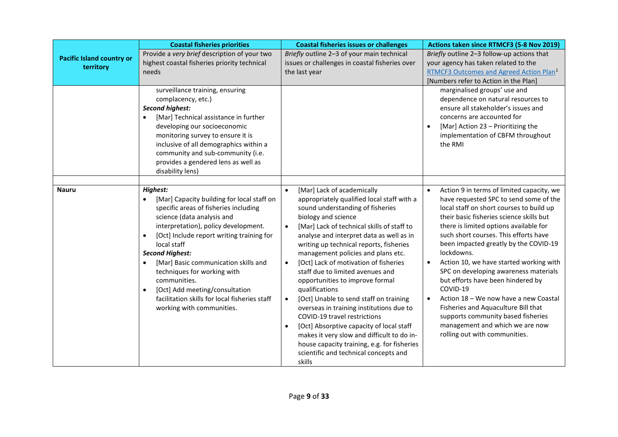|                                  | <b>Coastal fisheries priorities</b>                                                                                                                                                                                                                                                                                                                                                                                                                                             | <b>Coastal fisheries issues or challenges</b>                                                                                                                                                                                                                                                                                                                                                                                                                                                                                                                                                                                                                                                                                                                                                                                       | Actions taken since RTMCF3 (5-8 Nov 2019)                                                                                                                                                                                                                                                                                                                                                                                                                                                                                                                                                                                                                                      |
|----------------------------------|---------------------------------------------------------------------------------------------------------------------------------------------------------------------------------------------------------------------------------------------------------------------------------------------------------------------------------------------------------------------------------------------------------------------------------------------------------------------------------|-------------------------------------------------------------------------------------------------------------------------------------------------------------------------------------------------------------------------------------------------------------------------------------------------------------------------------------------------------------------------------------------------------------------------------------------------------------------------------------------------------------------------------------------------------------------------------------------------------------------------------------------------------------------------------------------------------------------------------------------------------------------------------------------------------------------------------------|--------------------------------------------------------------------------------------------------------------------------------------------------------------------------------------------------------------------------------------------------------------------------------------------------------------------------------------------------------------------------------------------------------------------------------------------------------------------------------------------------------------------------------------------------------------------------------------------------------------------------------------------------------------------------------|
| <b>Pacific Island country or</b> | Provide a very brief description of your two                                                                                                                                                                                                                                                                                                                                                                                                                                    | Briefly outline 2-3 of your main technical                                                                                                                                                                                                                                                                                                                                                                                                                                                                                                                                                                                                                                                                                                                                                                                          | Briefly outline 2-3 follow-up actions that                                                                                                                                                                                                                                                                                                                                                                                                                                                                                                                                                                                                                                     |
| territory                        | highest coastal fisheries priority technical<br>needs                                                                                                                                                                                                                                                                                                                                                                                                                           | issues or challenges in coastal fisheries over<br>the last year                                                                                                                                                                                                                                                                                                                                                                                                                                                                                                                                                                                                                                                                                                                                                                     | your agency has taken related to the<br>RTMCF3 Outcomes and Agreed Action Plan <sup>1</sup>                                                                                                                                                                                                                                                                                                                                                                                                                                                                                                                                                                                    |
|                                  |                                                                                                                                                                                                                                                                                                                                                                                                                                                                                 |                                                                                                                                                                                                                                                                                                                                                                                                                                                                                                                                                                                                                                                                                                                                                                                                                                     | [Numbers refer to Action in the Plan]                                                                                                                                                                                                                                                                                                                                                                                                                                                                                                                                                                                                                                          |
|                                  | surveillance training, ensuring<br>complacency, etc.)<br><b>Second highest:</b><br>[Mar] Technical assistance in further<br>developing our socioeconomic<br>monitoring survey to ensure it is<br>inclusive of all demographics within a<br>community and sub-community (i.e.<br>provides a gendered lens as well as<br>disability lens)                                                                                                                                         |                                                                                                                                                                                                                                                                                                                                                                                                                                                                                                                                                                                                                                                                                                                                                                                                                                     | marginalised groups' use and<br>dependence on natural resources to<br>ensure all stakeholder's issues and<br>concerns are accounted for<br>[Mar] Action 23 - Prioritizing the<br>implementation of CBFM throughout<br>the RMI                                                                                                                                                                                                                                                                                                                                                                                                                                                  |
|                                  |                                                                                                                                                                                                                                                                                                                                                                                                                                                                                 |                                                                                                                                                                                                                                                                                                                                                                                                                                                                                                                                                                                                                                                                                                                                                                                                                                     |                                                                                                                                                                                                                                                                                                                                                                                                                                                                                                                                                                                                                                                                                |
| <b>Nauru</b>                     | Highest:<br>[Mar] Capacity building for local staff on<br>specific areas of fisheries including<br>science (data analysis and<br>interpretation), policy development.<br>[Oct] Include report writing training for<br>local staff<br><b>Second Highest:</b><br>[Mar] Basic communication skills and<br>techniques for working with<br>communities.<br>[Oct] Add meeting/consultation<br>$\bullet$<br>facilitation skills for local fisheries staff<br>working with communities. | [Mar] Lack of academically<br>$\bullet$<br>appropriately qualified local staff with a<br>sound understanding of fisheries<br>biology and science<br>[Mar] Lack of technical skills of staff to<br>$\bullet$<br>analyse and interpret data as well as in<br>writing up technical reports, fisheries<br>management policies and plans etc.<br>[Oct] Lack of motivation of fisheries<br>$\bullet$<br>staff due to limited avenues and<br>opportunities to improve formal<br>qualifications<br>[Oct] Unable to send staff on training<br>$\bullet$<br>overseas in training institutions due to<br>COVID-19 travel restrictions<br>[Oct] Absorptive capacity of local staff<br>$\bullet$<br>makes it very slow and difficult to do in-<br>house capacity training, e.g. for fisheries<br>scientific and technical concepts and<br>skills | Action 9 in terms of limited capacity, we<br>$\bullet$<br>have requested SPC to send some of the<br>local staff on short courses to build up<br>their basic fisheries science skills but<br>there is limited options available for<br>such short courses. This efforts have<br>been impacted greatly by the COVID-19<br>lockdowns.<br>Action 10, we have started working with<br>SPC on developing awareness materials<br>but efforts have been hindered by<br>COVID-19<br>Action 18 - We now have a new Coastal<br>$\bullet$<br>Fisheries and Aquaculture Bill that<br>supports community based fisheries<br>management and which we are now<br>rolling out with communities. |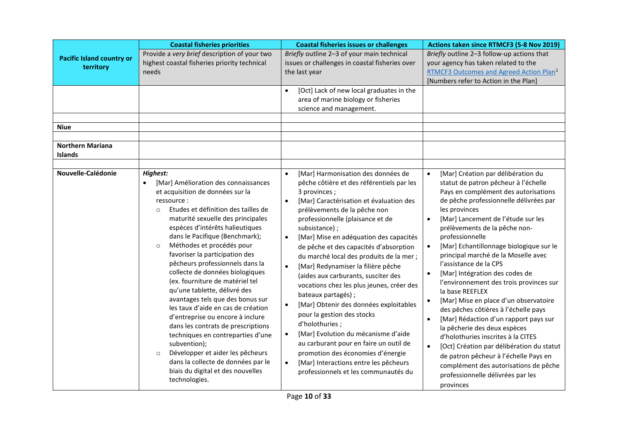|                                               | <b>Coastal fisheries priorities</b>                                                                                                                                                                                                                                                                                                                                                                                                                                                                                                                                                                                                                                                                                                                                                                                                    | <b>Coastal fisheries issues or challenges</b>                                                                                                                                                                                                                                                                                                                                                                                                                                                                                                                                                                                                                                                                                                                                                                                                                                                               | Actions taken since RTMCF3 (5-8 Nov 2019)                                                                                                                                                                                                                                                                                                                                                                                                                                                                                                                                                                                                                                                                                                                                                                                                                                                                                                          |
|-----------------------------------------------|----------------------------------------------------------------------------------------------------------------------------------------------------------------------------------------------------------------------------------------------------------------------------------------------------------------------------------------------------------------------------------------------------------------------------------------------------------------------------------------------------------------------------------------------------------------------------------------------------------------------------------------------------------------------------------------------------------------------------------------------------------------------------------------------------------------------------------------|-------------------------------------------------------------------------------------------------------------------------------------------------------------------------------------------------------------------------------------------------------------------------------------------------------------------------------------------------------------------------------------------------------------------------------------------------------------------------------------------------------------------------------------------------------------------------------------------------------------------------------------------------------------------------------------------------------------------------------------------------------------------------------------------------------------------------------------------------------------------------------------------------------------|----------------------------------------------------------------------------------------------------------------------------------------------------------------------------------------------------------------------------------------------------------------------------------------------------------------------------------------------------------------------------------------------------------------------------------------------------------------------------------------------------------------------------------------------------------------------------------------------------------------------------------------------------------------------------------------------------------------------------------------------------------------------------------------------------------------------------------------------------------------------------------------------------------------------------------------------------|
| <b>Pacific Island country or</b><br>territory | Provide a very brief description of your two<br>highest coastal fisheries priority technical<br>needs                                                                                                                                                                                                                                                                                                                                                                                                                                                                                                                                                                                                                                                                                                                                  | Briefly outline 2-3 of your main technical<br>issues or challenges in coastal fisheries over<br>the last year                                                                                                                                                                                                                                                                                                                                                                                                                                                                                                                                                                                                                                                                                                                                                                                               | Briefly outline 2-3 follow-up actions that<br>your agency has taken related to the<br>RTMCF3 Outcomes and Agreed Action Plan <sup>1</sup><br>[Numbers refer to Action in the Plan]                                                                                                                                                                                                                                                                                                                                                                                                                                                                                                                                                                                                                                                                                                                                                                 |
| <b>Niue</b>                                   |                                                                                                                                                                                                                                                                                                                                                                                                                                                                                                                                                                                                                                                                                                                                                                                                                                        | [Oct] Lack of new local graduates in the<br>$\bullet$<br>area of marine biology or fisheries<br>science and management.                                                                                                                                                                                                                                                                                                                                                                                                                                                                                                                                                                                                                                                                                                                                                                                     |                                                                                                                                                                                                                                                                                                                                                                                                                                                                                                                                                                                                                                                                                                                                                                                                                                                                                                                                                    |
| <b>Northern Mariana</b><br>Islands            |                                                                                                                                                                                                                                                                                                                                                                                                                                                                                                                                                                                                                                                                                                                                                                                                                                        |                                                                                                                                                                                                                                                                                                                                                                                                                                                                                                                                                                                                                                                                                                                                                                                                                                                                                                             |                                                                                                                                                                                                                                                                                                                                                                                                                                                                                                                                                                                                                                                                                                                                                                                                                                                                                                                                                    |
| Nouvelle-Calédonie                            | Highest:<br>[Mar] Amélioration des connaissances<br>et acquisition de données sur la<br>ressource:<br>Etudes et définition des tailles de<br>$\Omega$<br>maturité sexuelle des principales<br>espèces d'intérêts halieutiques<br>dans le Pacifique (Benchmark);<br>Méthodes et procédés pour<br>$\circ$<br>favoriser la participation des<br>pêcheurs professionnels dans la<br>collecte de données biologiques<br>(ex. fourniture de matériel tel<br>qu'une tablette, délivré des<br>avantages tels que des bonus sur<br>les taux d'aide en cas de création<br>d'entreprise ou encore à inclure<br>dans les contrats de prescriptions<br>techniques en contreparties d'une<br>subvention);<br>Développer et aider les pêcheurs<br>$\circ$<br>dans la collecte de données par le<br>biais du digital et des nouvelles<br>technologies. | [Mar] Harmonisation des données de<br>$\bullet$<br>pêche côtière et des référentiels par les<br>3 provinces;<br>[Mar] Caractérisation et évaluation des<br>$\bullet$<br>prélèvements de la pêche non<br>professionnelle (plaisance et de<br>subsistance);<br>[Mar] Mise en adéquation des capacités<br>$\bullet$<br>de pêche et des capacités d'absorption<br>du marché local des produits de la mer ;<br>[Mar] Redynamiser la filière pêche<br>$\bullet$<br>(aides aux carburants, susciter des<br>vocations chez les plus jeunes, créer des<br>bateaux partagés);<br>[Mar] Obtenir des données exploitables<br>$\bullet$<br>pour la gestion des stocks<br>d'holothuries;<br>[Mar] Evolution du mécanisme d'aide<br>$\bullet$<br>au carburant pour en faire un outil de<br>promotion des économies d'énergie<br>[Mar] Interactions entre les pêcheurs<br>$\bullet$<br>professionnels et les communautés du | [Mar] Création par délibération du<br>$\bullet$<br>statut de patron pêcheur à l'échelle<br>Pays en complément des autorisations<br>de pêche professionnelle délivrées par<br>les provinces<br>[Mar] Lancement de l'étude sur les<br>$\bullet$<br>prélèvements de la pêche non-<br>professionnelle<br>[Mar] Echantillonnage biologique sur le<br>$\bullet$<br>principal marché de la Moselle avec<br>l'assistance de la CPS<br>[Mar] Intégration des codes de<br>$\bullet$<br>l'environnement des trois provinces sur<br>la base REEFLEX<br>[Mar] Mise en place d'un observatoire<br>des pêches côtières à l'échelle pays<br>[Mar] Rédaction d'un rapport pays sur<br>$\bullet$<br>la pêcherie des deux espèces<br>d'holothuries inscrites à la CITES<br>$\bullet$<br>[Oct] Création par délibération du statut<br>de patron pêcheur à l'échelle Pays en<br>complément des autorisations de pêche<br>professionnelle délivrées par les<br>provinces |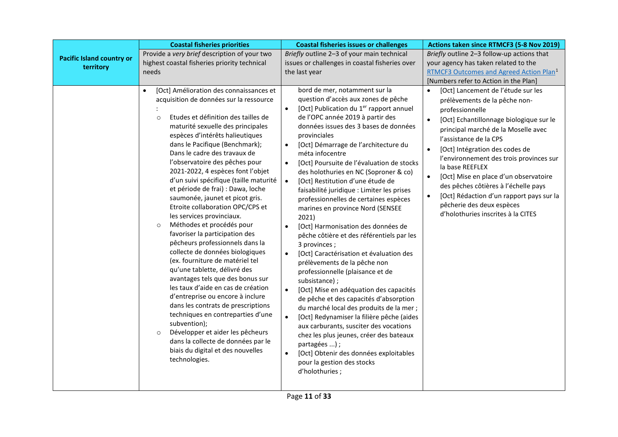|                                               | <b>Coastal fisheries priorities</b>                                                                                                                                                                                                                                                                                                                                                                                                                                                                                                                                                                                                                                                                                                                                                                                                                                                                                                                                                                                                                                                                                          | <b>Coastal fisheries issues or challenges</b>                                                                                                                                                                                                                                                                                                                                                                                                                                                                                                                                                                                                                                                                                                                                                                                                                                                                                                                                                                                                                                                                                                                                                                                                                                         | Actions taken since RTMCF3 (5-8 Nov 2019)                                                                                                                                                                                                                                                                                                                                                                                                                                                                                                              |
|-----------------------------------------------|------------------------------------------------------------------------------------------------------------------------------------------------------------------------------------------------------------------------------------------------------------------------------------------------------------------------------------------------------------------------------------------------------------------------------------------------------------------------------------------------------------------------------------------------------------------------------------------------------------------------------------------------------------------------------------------------------------------------------------------------------------------------------------------------------------------------------------------------------------------------------------------------------------------------------------------------------------------------------------------------------------------------------------------------------------------------------------------------------------------------------|---------------------------------------------------------------------------------------------------------------------------------------------------------------------------------------------------------------------------------------------------------------------------------------------------------------------------------------------------------------------------------------------------------------------------------------------------------------------------------------------------------------------------------------------------------------------------------------------------------------------------------------------------------------------------------------------------------------------------------------------------------------------------------------------------------------------------------------------------------------------------------------------------------------------------------------------------------------------------------------------------------------------------------------------------------------------------------------------------------------------------------------------------------------------------------------------------------------------------------------------------------------------------------------|--------------------------------------------------------------------------------------------------------------------------------------------------------------------------------------------------------------------------------------------------------------------------------------------------------------------------------------------------------------------------------------------------------------------------------------------------------------------------------------------------------------------------------------------------------|
| <b>Pacific Island country or</b><br>territory | Provide a very brief description of your two<br>highest coastal fisheries priority technical<br>needs                                                                                                                                                                                                                                                                                                                                                                                                                                                                                                                                                                                                                                                                                                                                                                                                                                                                                                                                                                                                                        | Briefly outline 2-3 of your main technical<br>issues or challenges in coastal fisheries over<br>the last year                                                                                                                                                                                                                                                                                                                                                                                                                                                                                                                                                                                                                                                                                                                                                                                                                                                                                                                                                                                                                                                                                                                                                                         | Briefly outline 2-3 follow-up actions that<br>your agency has taken related to the<br>RTMCF3 Outcomes and Agreed Action Plan <sup>1</sup><br>[Numbers refer to Action in the Plan]                                                                                                                                                                                                                                                                                                                                                                     |
|                                               | [Oct] Amélioration des connaissances et<br>$\bullet$<br>acquisition de données sur la ressource<br>Etudes et définition des tailles de<br>$\circ$<br>maturité sexuelle des principales<br>espèces d'intérêts halieutiques<br>dans le Pacifique (Benchmark);<br>Dans le cadre des travaux de<br>l'observatoire des pêches pour<br>2021-2022, 4 espèces font l'objet<br>d'un suivi spécifique (taille maturité<br>et période de frai) : Dawa, loche<br>saumonée, jaunet et picot gris.<br>Etroite collaboration OPC/CPS et<br>les services provinciaux.<br>Méthodes et procédés pour<br>$\circ$<br>favoriser la participation des<br>pêcheurs professionnels dans la<br>collecte de données biologiques<br>(ex. fourniture de matériel tel<br>qu'une tablette, délivré des<br>avantages tels que des bonus sur<br>les taux d'aide en cas de création<br>d'entreprise ou encore à inclure<br>dans les contrats de prescriptions<br>techniques en contreparties d'une<br>subvention);<br>Développer et aider les pêcheurs<br>$\circ$<br>dans la collecte de données par le<br>biais du digital et des nouvelles<br>technologies. | bord de mer, notamment sur la<br>question d'accès aux zones de pêche<br>[Oct] Publication du 1 <sup>er</sup> rapport annuel<br>$\bullet$<br>de l'OPC année 2019 à partir des<br>données issues des 3 bases de données<br>provinciales<br>[Oct] Démarrage de l'architecture du<br>$\bullet$<br>méta infocentre<br>[Oct] Poursuite de l'évaluation de stocks<br>$\bullet$<br>des holothuries en NC (Soproner & co)<br>[Oct] Restitution d'une étude de<br>$\bullet$<br>faisabilité juridique : Limiter les prises<br>professionnelles de certaines espèces<br>marines en province Nord (SENSEE<br>2021)<br>[Oct] Harmonisation des données de<br>$\bullet$<br>pêche côtière et des référentiels par les<br>3 provinces;<br>[Oct] Caractérisation et évaluation des<br>$\bullet$<br>prélèvements de la pêche non<br>professionnelle (plaisance et de<br>subsistance);<br>[Oct] Mise en adéquation des capacités<br>$\bullet$<br>de pêche et des capacités d'absorption<br>du marché local des produits de la mer ;<br>[Oct] Redynamiser la filière pêche (aides<br>$\bullet$<br>aux carburants, susciter des vocations<br>chez les plus jeunes, créer des bateaux<br>partagées );<br>[Oct] Obtenir des données exploitables<br>$\bullet$<br>pour la gestion des stocks<br>d'holothuries; | [Oct] Lancement de l'étude sur les<br>prélèvements de la pêche non-<br>professionnelle<br>[Oct] Echantillonnage biologique sur le<br>$\bullet$<br>principal marché de la Moselle avec<br>l'assistance de la CPS<br>$\bullet$<br>[Oct] Intégration des codes de<br>l'environnement des trois provinces sur<br>la base REEFLEX<br>[Oct] Mise en place d'un observatoire<br>$\bullet$<br>des pêches côtières à l'échelle pays<br>[Oct] Rédaction d'un rapport pays sur la<br>$\bullet$<br>pêcherie des deux espèces<br>d'holothuries inscrites à la CITES |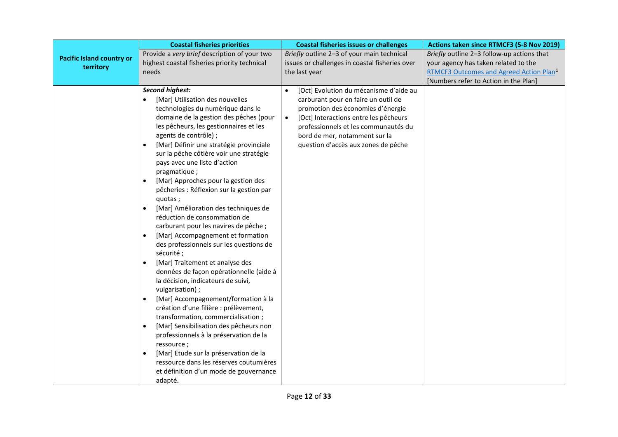|                                               | <b>Coastal fisheries priorities</b>                                                                                                                                                                                                                                                                                                                                                                                                                                                                                                                                                                                                                                                                                                                                                                                                                                                                                                                                                                                                                                                                                                                                                                                                                              | <b>Coastal fisheries issues or challenges</b>                                                                                                                                                                                                                                                         | Actions taken since RTMCF3 (5-8 Nov 2019)                                                                                                                                          |
|-----------------------------------------------|------------------------------------------------------------------------------------------------------------------------------------------------------------------------------------------------------------------------------------------------------------------------------------------------------------------------------------------------------------------------------------------------------------------------------------------------------------------------------------------------------------------------------------------------------------------------------------------------------------------------------------------------------------------------------------------------------------------------------------------------------------------------------------------------------------------------------------------------------------------------------------------------------------------------------------------------------------------------------------------------------------------------------------------------------------------------------------------------------------------------------------------------------------------------------------------------------------------------------------------------------------------|-------------------------------------------------------------------------------------------------------------------------------------------------------------------------------------------------------------------------------------------------------------------------------------------------------|------------------------------------------------------------------------------------------------------------------------------------------------------------------------------------|
| <b>Pacific Island country or</b><br>territory | Provide a very brief description of your two<br>highest coastal fisheries priority technical<br>needs                                                                                                                                                                                                                                                                                                                                                                                                                                                                                                                                                                                                                                                                                                                                                                                                                                                                                                                                                                                                                                                                                                                                                            | Briefly outline 2-3 of your main technical<br>issues or challenges in coastal fisheries over<br>the last year                                                                                                                                                                                         | Briefly outline 2-3 follow-up actions that<br>your agency has taken related to the<br>RTMCF3 Outcomes and Agreed Action Plan <sup>1</sup><br>[Numbers refer to Action in the Plan] |
|                                               | <b>Second highest:</b><br>[Mar] Utilisation des nouvelles<br>technologies du numérique dans le<br>domaine de la gestion des pêches (pour<br>les pêcheurs, les gestionnaires et les<br>agents de contrôle) ;<br>[Mar] Définir une stratégie provinciale<br>sur la pêche côtière voir une stratégie<br>pays avec une liste d'action<br>pragmatique;<br>[Mar] Approches pour la gestion des<br>$\bullet$<br>pêcheries : Réflexion sur la gestion par<br>quotas;<br>[Mar] Amélioration des techniques de<br>$\bullet$<br>réduction de consommation de<br>carburant pour les navires de pêche ;<br>[Mar] Accompagnement et formation<br>$\bullet$<br>des professionnels sur les questions de<br>sécurité;<br>[Mar] Traitement et analyse des<br>$\bullet$<br>données de façon opérationnelle (aide à<br>la décision, indicateurs de suivi,<br>vulgarisation);<br>[Mar] Accompagnement/formation à la<br>$\bullet$<br>création d'une filière : prélèvement,<br>transformation, commercialisation;<br>[Mar] Sensibilisation des pêcheurs non<br>$\bullet$<br>professionnels à la préservation de la<br>ressource;<br>[Mar] Etude sur la préservation de la<br>$\bullet$<br>ressource dans les réserves coutumières<br>et définition d'un mode de gouvernance<br>adapté. | [Oct] Evolution du mécanisme d'aide au<br>$\bullet$<br>carburant pour en faire un outil de<br>promotion des économies d'énergie<br>[Oct] Interactions entre les pêcheurs<br>$\bullet$<br>professionnels et les communautés du<br>bord de mer, notamment sur la<br>question d'accès aux zones de pêche |                                                                                                                                                                                    |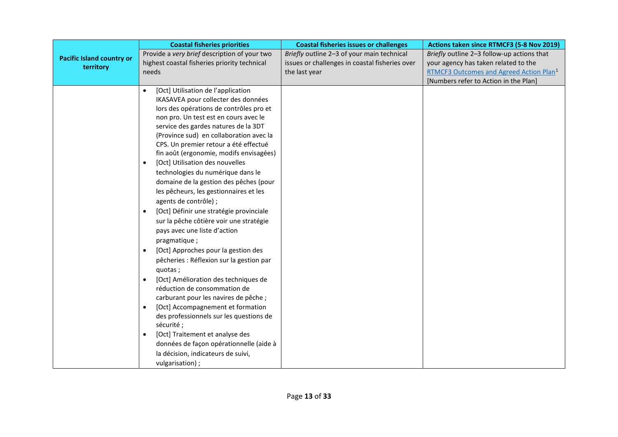|                                  | <b>Coastal fisheries priorities</b>                                              | <b>Coastal fisheries issues or challenges</b>  | Actions taken since RTMCF3 (5-8 Nov 2019)           |
|----------------------------------|----------------------------------------------------------------------------------|------------------------------------------------|-----------------------------------------------------|
| <b>Pacific Island country or</b> | Provide a very brief description of your two                                     | Briefly outline 2-3 of your main technical     | Briefly outline 2-3 follow-up actions that          |
| territory                        | highest coastal fisheries priority technical                                     | issues or challenges in coastal fisheries over | your agency has taken related to the                |
|                                  | needs                                                                            | the last year                                  | RTMCF3 Outcomes and Agreed Action Plan <sup>1</sup> |
|                                  |                                                                                  |                                                | [Numbers refer to Action in the Plan]               |
|                                  | [Oct] Utilisation de l'application                                               |                                                |                                                     |
|                                  | IKASAVEA pour collecter des données                                              |                                                |                                                     |
|                                  | lors des opérations de contrôles pro et                                          |                                                |                                                     |
|                                  | non pro. Un test est en cours avec le                                            |                                                |                                                     |
|                                  | service des gardes natures de la 3DT                                             |                                                |                                                     |
|                                  | (Province sud) en collaboration avec la                                          |                                                |                                                     |
|                                  | CPS. Un premier retour a été effectué<br>fin août (ergonomie, modifs envisagées) |                                                |                                                     |
|                                  | [Oct] Utilisation des nouvelles<br>$\bullet$                                     |                                                |                                                     |
|                                  | technologies du numérique dans le                                                |                                                |                                                     |
|                                  | domaine de la gestion des pêches (pour                                           |                                                |                                                     |
|                                  | les pêcheurs, les gestionnaires et les                                           |                                                |                                                     |
|                                  | agents de contrôle) ;                                                            |                                                |                                                     |
|                                  |                                                                                  |                                                |                                                     |
|                                  | [Oct] Définir une stratégie provinciale<br>$\bullet$                             |                                                |                                                     |
|                                  | sur la pêche côtière voir une stratégie                                          |                                                |                                                     |
|                                  | pays avec une liste d'action                                                     |                                                |                                                     |
|                                  | pragmatique;                                                                     |                                                |                                                     |
|                                  | [Oct] Approches pour la gestion des<br>$\bullet$                                 |                                                |                                                     |
|                                  | pêcheries : Réflexion sur la gestion par                                         |                                                |                                                     |
|                                  | quotas;                                                                          |                                                |                                                     |
|                                  | [Oct] Amélioration des techniques de<br>$\bullet$                                |                                                |                                                     |
|                                  | réduction de consommation de<br>carburant pour les navires de pêche ;            |                                                |                                                     |
|                                  | [Oct] Accompagnement et formation                                                |                                                |                                                     |
|                                  | des professionnels sur les questions de                                          |                                                |                                                     |
|                                  | sécurité;                                                                        |                                                |                                                     |
|                                  | [Oct] Traitement et analyse des                                                  |                                                |                                                     |
|                                  | données de façon opérationnelle (aide à                                          |                                                |                                                     |
|                                  | la décision, indicateurs de suivi,                                               |                                                |                                                     |
|                                  | vulgarisation);                                                                  |                                                |                                                     |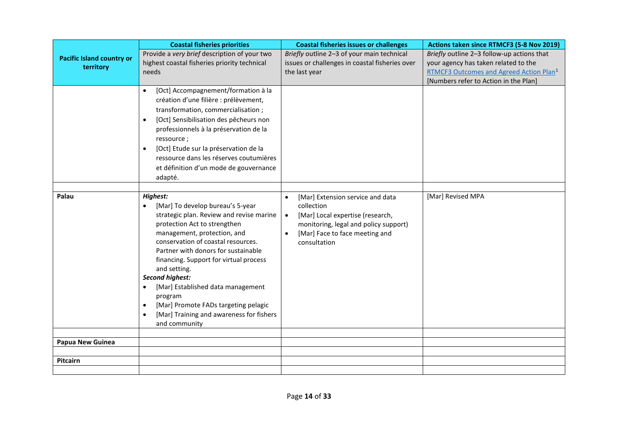|                                  | <b>Coastal fisheries priorities</b>                                                                                                                                                                                                                                                                                                                                                                                                                                                                                               | <b>Coastal fisheries issues or challenges</b>                                                                                                                                                                        | Actions taken since RTMCF3 (5-8 Nov 2019)                                          |
|----------------------------------|-----------------------------------------------------------------------------------------------------------------------------------------------------------------------------------------------------------------------------------------------------------------------------------------------------------------------------------------------------------------------------------------------------------------------------------------------------------------------------------------------------------------------------------|----------------------------------------------------------------------------------------------------------------------------------------------------------------------------------------------------------------------|------------------------------------------------------------------------------------|
| <b>Pacific Island country or</b> | Provide a very brief description of your two<br>highest coastal fisheries priority technical                                                                                                                                                                                                                                                                                                                                                                                                                                      | Briefly outline 2-3 of your main technical<br>issues or challenges in coastal fisheries over                                                                                                                         | Briefly outline 2-3 follow-up actions that<br>your agency has taken related to the |
| territory                        | needs                                                                                                                                                                                                                                                                                                                                                                                                                                                                                                                             | the last year                                                                                                                                                                                                        | RTMCF3 Outcomes and Agreed Action Plan <sup>1</sup>                                |
|                                  |                                                                                                                                                                                                                                                                                                                                                                                                                                                                                                                                   |                                                                                                                                                                                                                      | [Numbers refer to Action in the Plan]                                              |
|                                  | [Oct] Accompagnement/formation à la<br>$\bullet$<br>création d'une filière : prélèvement,<br>transformation, commercialisation;<br>[Oct] Sensibilisation des pêcheurs non<br>$\bullet$<br>professionnels à la préservation de la<br>ressource;<br>[Oct] Etude sur la préservation de la<br>$\bullet$<br>ressource dans les réserves coutumières<br>et définition d'un mode de gouvernance<br>adapté.                                                                                                                              |                                                                                                                                                                                                                      |                                                                                    |
| Palau                            | Highest:<br>[Mar] To develop bureau's 5-year<br>$\bullet$<br>strategic plan. Review and revise marine<br>protection Act to strengthen<br>management, protection, and<br>conservation of coastal resources.<br>Partner with donors for sustainable<br>financing. Support for virtual process<br>and setting.<br><b>Second highest:</b><br>[Mar] Established data management<br>$\bullet$<br>program<br>[Mar] Promote FADs targeting pelagic<br>$\bullet$<br>[Mar] Training and awareness for fishers<br>$\bullet$<br>and community | [Mar] Extension service and data<br>$\bullet$<br>collection<br>[Mar] Local expertise (research,<br>$\bullet$<br>monitoring, legal and policy support)<br>[Mar] Face to face meeting and<br>$\bullet$<br>consultation | [Mar] Revised MPA                                                                  |
| Papua New Guinea                 |                                                                                                                                                                                                                                                                                                                                                                                                                                                                                                                                   |                                                                                                                                                                                                                      |                                                                                    |
|                                  |                                                                                                                                                                                                                                                                                                                                                                                                                                                                                                                                   |                                                                                                                                                                                                                      |                                                                                    |
| Pitcairn                         |                                                                                                                                                                                                                                                                                                                                                                                                                                                                                                                                   |                                                                                                                                                                                                                      |                                                                                    |
|                                  |                                                                                                                                                                                                                                                                                                                                                                                                                                                                                                                                   |                                                                                                                                                                                                                      |                                                                                    |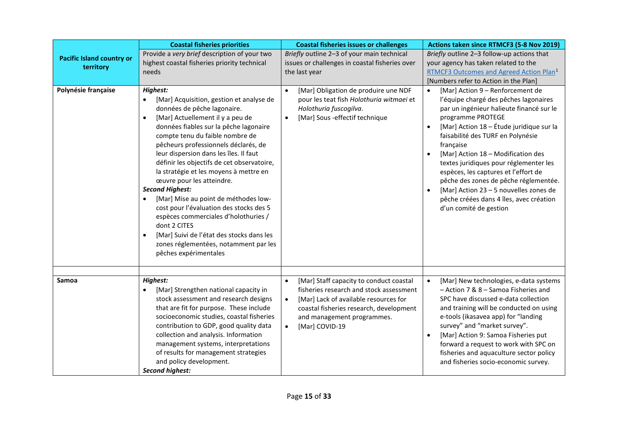|                                               | <b>Coastal fisheries priorities</b>                                                                                                                                                                                                                                                                                                                                                                                                                                                                                                                                                                                                                                                                                                           | <b>Coastal fisheries issues or challenges</b>                                                                                                                                                                                                                 | Actions taken since RTMCF3 (5-8 Nov 2019)                                                                                                                                                                                                                                                                                                                                                                                                                                                                                |
|-----------------------------------------------|-----------------------------------------------------------------------------------------------------------------------------------------------------------------------------------------------------------------------------------------------------------------------------------------------------------------------------------------------------------------------------------------------------------------------------------------------------------------------------------------------------------------------------------------------------------------------------------------------------------------------------------------------------------------------------------------------------------------------------------------------|---------------------------------------------------------------------------------------------------------------------------------------------------------------------------------------------------------------------------------------------------------------|--------------------------------------------------------------------------------------------------------------------------------------------------------------------------------------------------------------------------------------------------------------------------------------------------------------------------------------------------------------------------------------------------------------------------------------------------------------------------------------------------------------------------|
| <b>Pacific Island country or</b><br>territory | Provide a very brief description of your two<br>highest coastal fisheries priority technical<br>needs                                                                                                                                                                                                                                                                                                                                                                                                                                                                                                                                                                                                                                         | Briefly outline 2-3 of your main technical<br>issues or challenges in coastal fisheries over<br>the last year                                                                                                                                                 | Briefly outline 2-3 follow-up actions that<br>your agency has taken related to the<br>RTMCF3 Outcomes and Agreed Action Plan <sup>1</sup><br>[Numbers refer to Action in the Plan]                                                                                                                                                                                                                                                                                                                                       |
| Polynésie française                           | <b>Highest:</b><br>[Mar] Acquisition, gestion et analyse de<br>$\bullet$<br>données de pêche lagonaire.<br>[Mar] Actuellement il y a peu de<br>$\bullet$<br>données fiables sur la pêche lagonaire<br>compte tenu du faible nombre de<br>pêcheurs professionnels déclarés, de<br>leur dispersion dans les îles. Il faut<br>définir les objectifs de cet observatoire,<br>la stratégie et les moyens à mettre en<br>œuvre pour les atteindre.<br><b>Second Highest:</b><br>[Mar] Mise au point de méthodes low-<br>$\bullet$<br>cost pour l'évaluation des stocks des 5<br>espèces commerciales d'holothuries /<br>dont 2 CITES<br>[Mar] Suivi de l'état des stocks dans les<br>zones réglementées, notamment par les<br>pêches expérimentales | [Mar] Obligation de produire une NDF<br>$\bullet$<br>pour les teat fish Holothuria witmaei et<br>Holothuria fuscogilva.<br>[Mar] Sous -effectif technique<br>$\bullet$                                                                                        | [Mar] Action 9 - Renforcement de<br>l'équipe chargé des pêches lagonaires<br>par un ingénieur halieute financé sur le<br>programme PROTEGE<br>[Mar] Action 18 - Étude juridique sur la<br>faisabilité des TURF en Polynésie<br>française<br>[Mar] Action 18 - Modification des<br>textes juridiques pour réglementer les<br>espèces, les captures et l'effort de<br>pêche des zones de pêche réglementée.<br>[Mar] Action 23 - 5 nouvelles zones de<br>pêche créées dans 4 îles, avec création<br>d'un comité de gestion |
| Samoa                                         | <b>Highest:</b><br>[Mar] Strengthen national capacity in<br>stock assessment and research designs<br>that are fit for purpose. These include<br>socioeconomic studies, coastal fisheries<br>contribution to GDP, good quality data<br>collection and analysis. Information<br>management systems, interpretations<br>of results for management strategies<br>and policy development.<br><b>Second highest:</b>                                                                                                                                                                                                                                                                                                                                | [Mar] Staff capacity to conduct coastal<br>$\bullet$<br>fisheries research and stock assessment<br>[Mar] Lack of available resources for<br>$\bullet$<br>coastal fisheries research, development<br>and management programmes.<br>[Mar] COVID-19<br>$\bullet$ | [Mar] New technologies, e-data systems<br>$\bullet$<br>- Action 7 & 8 - Samoa Fisheries and<br>SPC have discussed e-data collection<br>and training will be conducted on using<br>e-tools (ikasavea app) for "landing<br>survey" and "market survey".<br>[Mar] Action 9: Samoa Fisheries put<br>forward a request to work with SPC on<br>fisheries and aquaculture sector policy<br>and fisheries socio-economic survey.                                                                                                 |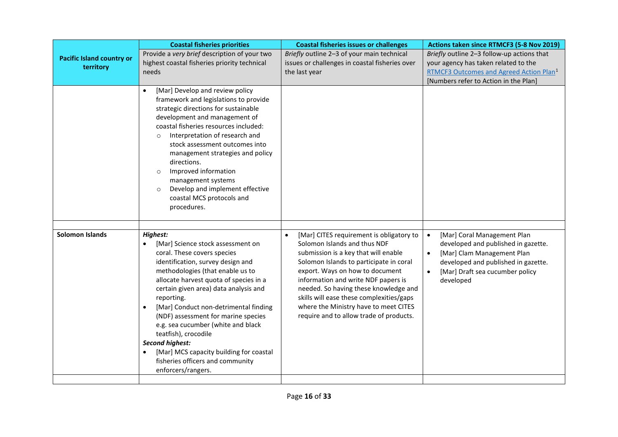|                                               | <b>Coastal fisheries priorities</b>                                                                                                                                                                                                                                                                                                                                                                                                                                                                                                                            | <b>Coastal fisheries issues or challenges</b>                                                                                                                                                                                                                                                                                                                                                                               | Actions taken since RTMCF3 (5-8 Nov 2019)                                                                                                                                                                                      |
|-----------------------------------------------|----------------------------------------------------------------------------------------------------------------------------------------------------------------------------------------------------------------------------------------------------------------------------------------------------------------------------------------------------------------------------------------------------------------------------------------------------------------------------------------------------------------------------------------------------------------|-----------------------------------------------------------------------------------------------------------------------------------------------------------------------------------------------------------------------------------------------------------------------------------------------------------------------------------------------------------------------------------------------------------------------------|--------------------------------------------------------------------------------------------------------------------------------------------------------------------------------------------------------------------------------|
| <b>Pacific Island country or</b><br>territory | Provide a very brief description of your two<br>highest coastal fisheries priority technical<br>needs                                                                                                                                                                                                                                                                                                                                                                                                                                                          | Briefly outline 2-3 of your main technical<br>issues or challenges in coastal fisheries over<br>the last year                                                                                                                                                                                                                                                                                                               | Briefly outline 2-3 follow-up actions that<br>your agency has taken related to the<br>RTMCF3 Outcomes and Agreed Action Plan <sup>1</sup><br>[Numbers refer to Action in the Plan]                                             |
|                                               | [Mar] Develop and review policy<br>$\bullet$<br>framework and legislations to provide<br>strategic directions for sustainable<br>development and management of<br>coastal fisheries resources included:<br>Interpretation of research and<br>$\circ$<br>stock assessment outcomes into<br>management strategies and policy<br>directions.<br>Improved information<br>$\circ$<br>management systems<br>Develop and implement effective<br>coastal MCS protocols and<br>procedures.                                                                              |                                                                                                                                                                                                                                                                                                                                                                                                                             |                                                                                                                                                                                                                                |
| Solomon Islands                               | <b>Highest:</b>                                                                                                                                                                                                                                                                                                                                                                                                                                                                                                                                                |                                                                                                                                                                                                                                                                                                                                                                                                                             |                                                                                                                                                                                                                                |
|                                               | [Mar] Science stock assessment on<br>$\bullet$<br>coral. These covers species<br>identification, survey design and<br>methodologies (that enable us to<br>allocate harvest quota of species in a<br>certain given area) data analysis and<br>reporting.<br>[Mar] Conduct non-detrimental finding<br>$\bullet$<br>(NDF) assessment for marine species<br>e.g. sea cucumber (white and black<br>teatfish), crocodile<br><b>Second highest:</b><br>[Mar] MCS capacity building for coastal<br>$\bullet$<br>fisheries officers and community<br>enforcers/rangers. | [Mar] CITES requirement is obligatory to<br>$\bullet$<br>Solomon Islands and thus NDF<br>submission is a key that will enable<br>Solomon Islands to participate in coral<br>export. Ways on how to document<br>information and write NDF papers is<br>needed. So having these knowledge and<br>skills will ease these complexities/gaps<br>where the Ministry have to meet CITES<br>require and to allow trade of products. | [Mar] Coral Management Plan<br>$\bullet$<br>developed and published in gazette.<br>[Mar] Clam Management Plan<br>$\bullet$<br>developed and published in gazette.<br>[Mar] Draft sea cucumber policy<br>$\bullet$<br>developed |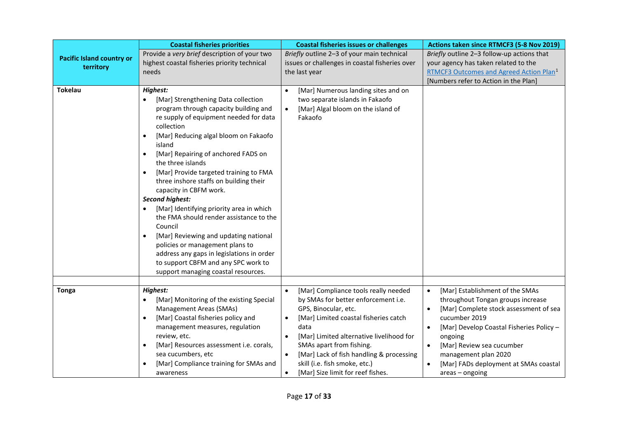|                                  | <b>Coastal fisheries priorities</b>                                        | <b>Coastal fisheries issues or challenges</b>                                       | Actions taken since RTMCF3 (5-8 Nov 2019)                                                    |
|----------------------------------|----------------------------------------------------------------------------|-------------------------------------------------------------------------------------|----------------------------------------------------------------------------------------------|
| <b>Pacific Island country or</b> | Provide a very brief description of your two                               | Briefly outline 2-3 of your main technical                                          | Briefly outline 2-3 follow-up actions that                                                   |
| territory                        | highest coastal fisheries priority technical                               | issues or challenges in coastal fisheries over                                      | your agency has taken related to the                                                         |
|                                  | needs                                                                      | the last year                                                                       | RTMCF3 Outcomes and Agreed Action Plan <sup>1</sup><br>[Numbers refer to Action in the Plan] |
| <b>Tokelau</b>                   |                                                                            |                                                                                     |                                                                                              |
|                                  | Highest:<br>[Mar] Strengthening Data collection<br>$\bullet$               | [Mar] Numerous landing sites and on<br>$\bullet$<br>two separate islands in Fakaofo |                                                                                              |
|                                  | program through capacity building and                                      | [Mar] Algal bloom on the island of<br>$\bullet$                                     |                                                                                              |
|                                  | re supply of equipment needed for data                                     | Fakaofo                                                                             |                                                                                              |
|                                  | collection                                                                 |                                                                                     |                                                                                              |
|                                  | [Mar] Reducing algal bloom on Fakaofo<br>$\bullet$                         |                                                                                     |                                                                                              |
|                                  | island                                                                     |                                                                                     |                                                                                              |
|                                  | [Mar] Repairing of anchored FADS on<br>$\bullet$                           |                                                                                     |                                                                                              |
|                                  | the three islands                                                          |                                                                                     |                                                                                              |
|                                  | [Mar] Provide targeted training to FMA<br>$\bullet$                        |                                                                                     |                                                                                              |
|                                  | three inshore staffs on building their                                     |                                                                                     |                                                                                              |
|                                  | capacity in CBFM work.                                                     |                                                                                     |                                                                                              |
|                                  | Second highest:                                                            |                                                                                     |                                                                                              |
|                                  | [Mar] Identifying priority area in which<br>$\bullet$                      |                                                                                     |                                                                                              |
|                                  | the FMA should render assistance to the<br>Council                         |                                                                                     |                                                                                              |
|                                  | [Mar] Reviewing and updating national<br>$\bullet$                         |                                                                                     |                                                                                              |
|                                  | policies or management plans to                                            |                                                                                     |                                                                                              |
|                                  | address any gaps in legislations in order                                  |                                                                                     |                                                                                              |
|                                  | to support CBFM and any SPC work to                                        |                                                                                     |                                                                                              |
|                                  | support managing coastal resources.                                        |                                                                                     |                                                                                              |
|                                  |                                                                            |                                                                                     |                                                                                              |
| <b>Tonga</b>                     | Highest:                                                                   | [Mar] Compliance tools really needed<br>$\bullet$                                   | [Mar] Establishment of the SMAs<br>$\bullet$                                                 |
|                                  | [Mar] Monitoring of the existing Special<br>$\bullet$                      | by SMAs for better enforcement i.e.                                                 | throughout Tongan groups increase                                                            |
|                                  | Management Areas (SMAs)                                                    | GPS, Binocular, etc.                                                                | [Mar] Complete stock assessment of sea                                                       |
|                                  | [Mar] Coastal fisheries policy and<br>$\bullet$                            | [Mar] Limited coastal fisheries catch<br>$\bullet$                                  | cucumber 2019                                                                                |
|                                  | management measures, regulation                                            | data                                                                                | [Mar] Develop Coastal Fisheries Policy -                                                     |
|                                  | review, etc.                                                               | [Mar] Limited alternative livelihood for<br>$\bullet$                               | ongoing                                                                                      |
|                                  | [Mar] Resources assessment i.e. corals,<br>$\bullet$<br>sea cucumbers, etc | SMAs apart from fishing.<br>[Mar] Lack of fish handling & processing<br>$\bullet$   | [Mar] Review sea cucumber                                                                    |
|                                  | [Mar] Compliance training for SMAs and                                     | skill (i.e. fish smoke, etc.)                                                       | management plan 2020<br>[Mar] FADs deployment at SMAs coastal                                |
|                                  | awareness                                                                  | [Mar] Size limit for reef fishes.                                                   | $area - ongoing$                                                                             |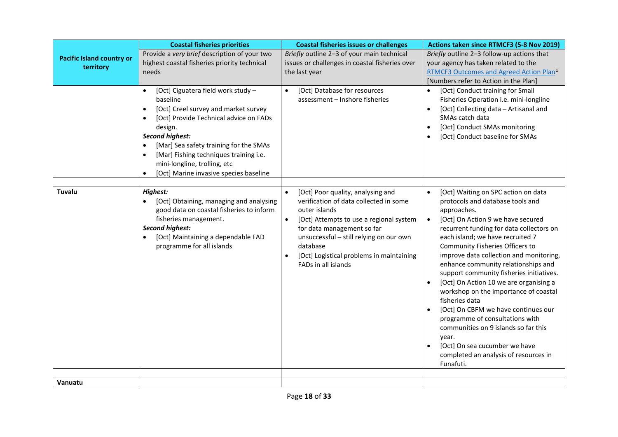|                                               | <b>Coastal fisheries priorities</b>                                                                                                                                                                                                                                                                                                                                                     | <b>Coastal fisheries issues or challenges</b>                                                                                                                                                                                                                                                                             | Actions taken since RTMCF3 (5-8 Nov 2019)                                                                                                                                                                                                                                                                                                                                                                                                                                                                                                                                                                                                                                                                                     |
|-----------------------------------------------|-----------------------------------------------------------------------------------------------------------------------------------------------------------------------------------------------------------------------------------------------------------------------------------------------------------------------------------------------------------------------------------------|---------------------------------------------------------------------------------------------------------------------------------------------------------------------------------------------------------------------------------------------------------------------------------------------------------------------------|-------------------------------------------------------------------------------------------------------------------------------------------------------------------------------------------------------------------------------------------------------------------------------------------------------------------------------------------------------------------------------------------------------------------------------------------------------------------------------------------------------------------------------------------------------------------------------------------------------------------------------------------------------------------------------------------------------------------------------|
| <b>Pacific Island country or</b><br>territory | Provide a very brief description of your two<br>highest coastal fisheries priority technical<br>needs                                                                                                                                                                                                                                                                                   | Briefly outline 2-3 of your main technical<br>issues or challenges in coastal fisheries over<br>the last year                                                                                                                                                                                                             | Briefly outline 2-3 follow-up actions that<br>your agency has taken related to the<br>RTMCF3 Outcomes and Agreed Action Plan <sup>1</sup><br>[Numbers refer to Action in the Plan]                                                                                                                                                                                                                                                                                                                                                                                                                                                                                                                                            |
|                                               | [Oct] Ciguatera field work study -<br>$\bullet$<br>baseline<br>[Oct] Creel survey and market survey<br>$\bullet$<br>[Oct] Provide Technical advice on FADs<br>design.<br><b>Second highest:</b><br>[Mar] Sea safety training for the SMAs<br>[Mar] Fishing techniques training i.e.<br>$\bullet$<br>mini-longline, trolling, etc<br>[Oct] Marine invasive species baseline<br>$\bullet$ | [Oct] Database for resources<br>$\bullet$<br>assessment - Inshore fisheries                                                                                                                                                                                                                                               | [Oct] Conduct training for Small<br>Fisheries Operation i.e. mini-longline<br>[Oct] Collecting data - Artisanal and<br>SMAs catch data<br>[Oct] Conduct SMAs monitoring<br>[Oct] Conduct baseline for SMAs                                                                                                                                                                                                                                                                                                                                                                                                                                                                                                                    |
|                                               |                                                                                                                                                                                                                                                                                                                                                                                         |                                                                                                                                                                                                                                                                                                                           |                                                                                                                                                                                                                                                                                                                                                                                                                                                                                                                                                                                                                                                                                                                               |
| Tuvalu                                        | <b>Highest:</b><br>[Oct] Obtaining, managing and analysing<br>good data on coastal fisheries to inform<br>fisheries management.<br><b>Second highest:</b><br>[Oct] Maintaining a dependable FAD<br>$\bullet$<br>programme for all islands                                                                                                                                               | [Oct] Poor quality, analysing and<br>$\bullet$<br>verification of data collected in some<br>outer islands<br>[Oct] Attempts to use a regional system<br>$\bullet$<br>for data management so far<br>unsuccessful - still relying on our own<br>database<br>[Oct] Logistical problems in maintaining<br>FADs in all islands | [Oct] Waiting on SPC action on data<br>protocols and database tools and<br>approaches.<br>[Oct] On Action 9 we have secured<br>$\bullet$<br>recurrent funding for data collectors on<br>each island; we have recruited 7<br>Community Fisheries Officers to<br>improve data collection and monitoring,<br>enhance community relationships and<br>support community fisheries initiatives.<br>[Oct] On Action 10 we are organising a<br>$\bullet$<br>workshop on the importance of coastal<br>fisheries data<br>[Oct] On CBFM we have continues our<br>programme of consultations with<br>communities on 9 islands so far this<br>year.<br>[Oct] On sea cucumber we have<br>completed an analysis of resources in<br>Funafuti. |
| Vanuatu                                       |                                                                                                                                                                                                                                                                                                                                                                                         |                                                                                                                                                                                                                                                                                                                           |                                                                                                                                                                                                                                                                                                                                                                                                                                                                                                                                                                                                                                                                                                                               |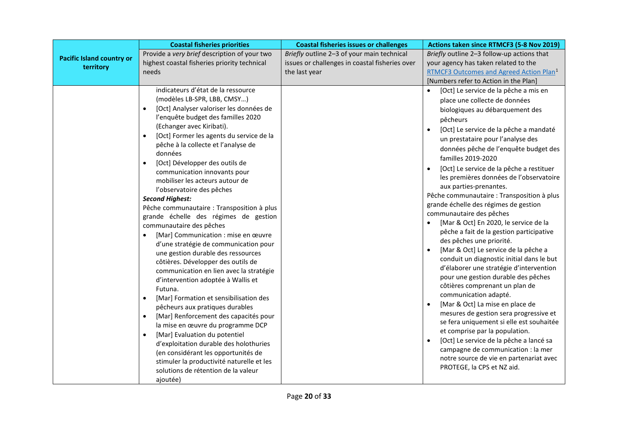|                                               | <b>Coastal fisheries priorities</b>                                                                                                                                                                                                                                                                                                                                                                                                                                                                                                                                                                                                                                                                                                                                                                                                                                                                                                                                                                                                                                                                                                                                                                                                                                | <b>Coastal fisheries issues or challenges</b>                                                                 | Actions taken since RTMCF3 (5-8 Nov 2019)                                                                                                                                                                                                                                                                                                                                                                                                                                                                                                                                                                                                                                                                                                                                                                                                                                                                                                                                                                                                                                                                                                                                                                                           |
|-----------------------------------------------|--------------------------------------------------------------------------------------------------------------------------------------------------------------------------------------------------------------------------------------------------------------------------------------------------------------------------------------------------------------------------------------------------------------------------------------------------------------------------------------------------------------------------------------------------------------------------------------------------------------------------------------------------------------------------------------------------------------------------------------------------------------------------------------------------------------------------------------------------------------------------------------------------------------------------------------------------------------------------------------------------------------------------------------------------------------------------------------------------------------------------------------------------------------------------------------------------------------------------------------------------------------------|---------------------------------------------------------------------------------------------------------------|-------------------------------------------------------------------------------------------------------------------------------------------------------------------------------------------------------------------------------------------------------------------------------------------------------------------------------------------------------------------------------------------------------------------------------------------------------------------------------------------------------------------------------------------------------------------------------------------------------------------------------------------------------------------------------------------------------------------------------------------------------------------------------------------------------------------------------------------------------------------------------------------------------------------------------------------------------------------------------------------------------------------------------------------------------------------------------------------------------------------------------------------------------------------------------------------------------------------------------------|
| <b>Pacific Island country or</b><br>territory | Provide a very brief description of your two<br>highest coastal fisheries priority technical<br>needs                                                                                                                                                                                                                                                                                                                                                                                                                                                                                                                                                                                                                                                                                                                                                                                                                                                                                                                                                                                                                                                                                                                                                              | Briefly outline 2-3 of your main technical<br>issues or challenges in coastal fisheries over<br>the last year | Briefly outline 2-3 follow-up actions that<br>your agency has taken related to the<br>RTMCF3 Outcomes and Agreed Action Plan <sup>1</sup><br>[Numbers refer to Action in the Plan]                                                                                                                                                                                                                                                                                                                                                                                                                                                                                                                                                                                                                                                                                                                                                                                                                                                                                                                                                                                                                                                  |
|                                               | indicateurs d'état de la ressource<br>(modèles LB-SPR, LBB, CMSY)<br>[Oct] Analyser valoriser les données de<br>l'enquête budget des familles 2020<br>(Echanger avec Kiribati).<br>[Oct] Former les agents du service de la<br>$\bullet$<br>pêche à la collecte et l'analyse de<br>données<br>[Oct] Développer des outils de<br>communication innovants pour<br>mobiliser les acteurs autour de<br>l'observatoire des pêches<br><b>Second Highest:</b><br>Pêche communautaire : Transposition à plus<br>grande échelle des régimes de gestion<br>communautaire des pêches<br>[Mar] Communication : mise en œuvre<br>$\bullet$<br>d'une stratégie de communication pour<br>une gestion durable des ressources<br>côtières. Développer des outils de<br>communication en lien avec la stratégie<br>d'intervention adoptée à Wallis et<br>Futuna.<br>[Mar] Formation et sensibilisation des<br>$\bullet$<br>pêcheurs aux pratiques durables<br>[Mar] Renforcement des capacités pour<br>$\bullet$<br>la mise en œuvre du programme DCP<br>[Mar] Evaluation du potentiel<br>$\bullet$<br>d'exploitation durable des holothuries<br>(en considérant les opportunités de<br>stimuler la productivité naturelle et les<br>solutions de rétention de la valeur<br>ajoutée) |                                                                                                               | [Oct] Le service de la pêche a mis en<br>place une collecte de données<br>biologiques au débarquement des<br>pêcheurs<br>$\bullet$<br>[Oct] Le service de la pêche a mandaté<br>un prestataire pour l'analyse des<br>données pêche de l'enquête budget des<br>familles 2019-2020<br>[Oct] Le service de la pêche a restituer<br>les premières données de l'observatoire<br>aux parties-prenantes.<br>Pêche communautaire : Transposition à plus<br>grande échelle des régimes de gestion<br>communautaire des pêches<br>[Mar & Oct] En 2020, le service de la<br>pêche a fait de la gestion participative<br>des pêches une priorité.<br>[Mar & Oct] Le service de la pêche a<br>$\bullet$<br>conduit un diagnostic initial dans le but<br>d'élaborer une stratégie d'intervention<br>pour une gestion durable des pêches<br>côtières comprenant un plan de<br>communication adapté.<br>[Mar & Oct] La mise en place de<br>$\bullet$<br>mesures de gestion sera progressive et<br>se fera uniquement si elle est souhaitée<br>et comprise par la population.<br>[Oct] Le service de la pêche a lancé sa<br>$\bullet$<br>campagne de communication : la mer<br>notre source de vie en partenariat avec<br>PROTEGE, la CPS et NZ aid. |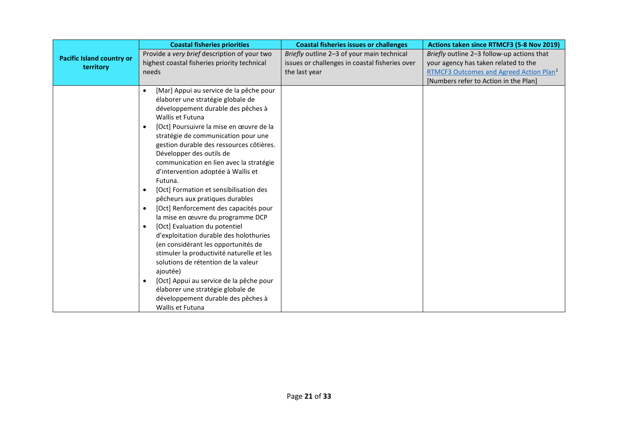|                                  | <b>Coastal fisheries priorities</b>                                                                                                                                                                                                                                                                                                                                                                                                                                                                                                                                                                                                               | <b>Coastal fisheries issues or challenges</b>  | Actions taken since RTMCF3 (5-8 Nov 2019)           |
|----------------------------------|---------------------------------------------------------------------------------------------------------------------------------------------------------------------------------------------------------------------------------------------------------------------------------------------------------------------------------------------------------------------------------------------------------------------------------------------------------------------------------------------------------------------------------------------------------------------------------------------------------------------------------------------------|------------------------------------------------|-----------------------------------------------------|
| <b>Pacific Island country or</b> | Provide a very brief description of your two                                                                                                                                                                                                                                                                                                                                                                                                                                                                                                                                                                                                      | Briefly outline 2-3 of your main technical     | Briefly outline 2-3 follow-up actions that          |
| territory                        | highest coastal fisheries priority technical                                                                                                                                                                                                                                                                                                                                                                                                                                                                                                                                                                                                      | issues or challenges in coastal fisheries over | your agency has taken related to the                |
|                                  | needs                                                                                                                                                                                                                                                                                                                                                                                                                                                                                                                                                                                                                                             | the last year                                  | RTMCF3 Outcomes and Agreed Action Plan <sup>1</sup> |
|                                  |                                                                                                                                                                                                                                                                                                                                                                                                                                                                                                                                                                                                                                                   |                                                | [Numbers refer to Action in the Plan]               |
|                                  | [Mar] Appui au service de la pêche pour<br>$\bullet$<br>élaborer une stratégie globale de<br>développement durable des pêches à<br>Wallis et Futuna<br>[Oct] Poursuivre la mise en œuvre de la<br>٠<br>stratégie de communication pour une<br>gestion durable des ressources côtières.<br>Développer des outils de<br>communication en lien avec la stratégie<br>d'intervention adoptée à Wallis et<br>Futuna.<br>[Oct] Formation et sensibilisation des<br>$\bullet$<br>pêcheurs aux pratiques durables<br>[Oct] Renforcement des capacités pour<br>$\bullet$<br>la mise en œuvre du programme DCP<br>[Oct] Evaluation du potentiel<br>$\bullet$ |                                                |                                                     |
|                                  | d'exploitation durable des holothuries<br>(en considérant les opportunités de<br>stimuler la productivité naturelle et les<br>solutions de rétention de la valeur<br>ajoutée)<br>[Oct] Appui au service de la pêche pour<br>$\bullet$<br>élaborer une stratégie globale de<br>développement durable des pêches à<br>Wallis et Futuna                                                                                                                                                                                                                                                                                                              |                                                |                                                     |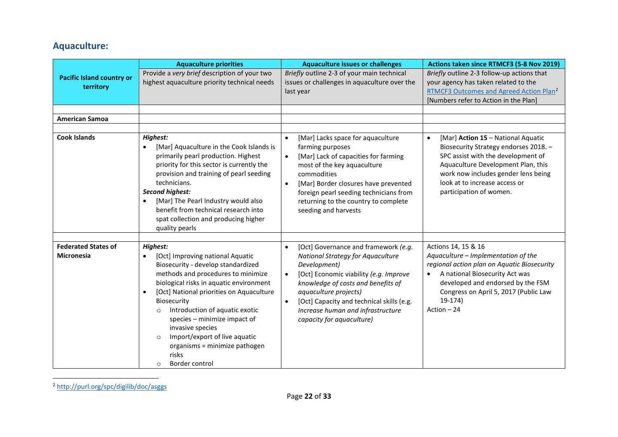## <span id="page-21-0"></span>**Aquaculture:**

|                                                 | <b>Aquaculture priorities</b>                                                                                                                                                                                                                                                                                                                                                                                                                                                        | <b>Aquaculture issues or challenges</b>                                                                                                                                                                                                                                                                                                                  | Actions taken since RTMCF3 (5-8 Nov 2019)                                                                                                                                                                                                                               |
|-------------------------------------------------|--------------------------------------------------------------------------------------------------------------------------------------------------------------------------------------------------------------------------------------------------------------------------------------------------------------------------------------------------------------------------------------------------------------------------------------------------------------------------------------|----------------------------------------------------------------------------------------------------------------------------------------------------------------------------------------------------------------------------------------------------------------------------------------------------------------------------------------------------------|-------------------------------------------------------------------------------------------------------------------------------------------------------------------------------------------------------------------------------------------------------------------------|
| <b>Pacific Island country or</b><br>territory   | Provide a very brief description of your two<br>highest aquaculture priority technical needs                                                                                                                                                                                                                                                                                                                                                                                         | Briefly outline 2-3 of your main technical<br>issues or challenges in aquaculture over the<br>last year                                                                                                                                                                                                                                                  | Briefly outline 2-3 follow-up actions that<br>your agency has taken related to the<br>RTMCF3 Outcomes and Agreed Action Plan <sup>2</sup>                                                                                                                               |
|                                                 |                                                                                                                                                                                                                                                                                                                                                                                                                                                                                      |                                                                                                                                                                                                                                                                                                                                                          | [Numbers refer to Action in the Plan]                                                                                                                                                                                                                                   |
| <b>American Samoa</b>                           |                                                                                                                                                                                                                                                                                                                                                                                                                                                                                      |                                                                                                                                                                                                                                                                                                                                                          |                                                                                                                                                                                                                                                                         |
|                                                 |                                                                                                                                                                                                                                                                                                                                                                                                                                                                                      |                                                                                                                                                                                                                                                                                                                                                          |                                                                                                                                                                                                                                                                         |
| <b>Cook Islands</b>                             | <b>Highest:</b><br>[Mar] Aquaculture in the Cook Islands is<br>$\bullet$<br>primarily pearl production. Highest<br>priority for this sector is currently the<br>provision and training of pearl seeding<br>technicians.<br><b>Second highest:</b><br>[Mar] The Pearl Industry would also<br>$\bullet$<br>benefit from technical research into<br>spat collection and producing higher<br>quality pearls                                                                              | [Mar] Lacks space for aquaculture<br>$\bullet$<br>farming purposes<br>[Mar] Lack of capacities for farming<br>$\bullet$<br>most of the key aquaculture<br>commodities<br>[Mar] Border closures have prevented<br>$\bullet$<br>foreign pearl seeding technicians from<br>returning to the country to complete<br>seeding and harvests                     | [Mar] Action 15 - National Aquatic<br>$\bullet$<br>Biosecurity Strategy endorses 2018. -<br>SPC assist with the development of<br>Aquaculture Development Plan, this<br>work now includes gender lens being<br>look at to increase access or<br>participation of women. |
|                                                 |                                                                                                                                                                                                                                                                                                                                                                                                                                                                                      |                                                                                                                                                                                                                                                                                                                                                          |                                                                                                                                                                                                                                                                         |
| <b>Federated States of</b><br><b>Micronesia</b> | <b>Highest:</b><br>[Oct] Improving national Aquatic<br>$\bullet$<br>Biosecurity - develop standardized<br>methods and procedures to minimize<br>biological risks in aquatic environment<br>[Oct] National priorities on Aquaculture<br>$\bullet$<br>Biosecurity<br>Introduction of aquatic exotic<br>$\circ$<br>species - minimize impact of<br>invasive species<br>Import/export of live aquatic<br>$\Omega$<br>organisms = minimize pathogen<br>risks<br>Border control<br>$\circ$ | [Oct] Governance and framework (e.g.<br>$\bullet$<br>National Strategy for Aquaculture<br>Development)<br>[Oct] Economic viability (e.g. Improve<br>$\bullet$<br>knowledge of costs and benefits of<br>aquaculture projects)<br>[Oct] Capacity and technical skills (e.g.<br>$\bullet$<br>Increase human and infrastructure<br>capacity for aquaculture) | Actions 14, 15 & 16<br>Aquaculture - Implementation of the<br>regional action plan on Aquatic Biosecurity<br>A national Biosecurity Act was<br>developed and endorsed by the FSM<br>Congress on April 5, 2017 (Public Law<br>19-174)<br>Action $-24$                    |

<sup>2</sup> <http://purl.org/spc/digilib/doc/asggs>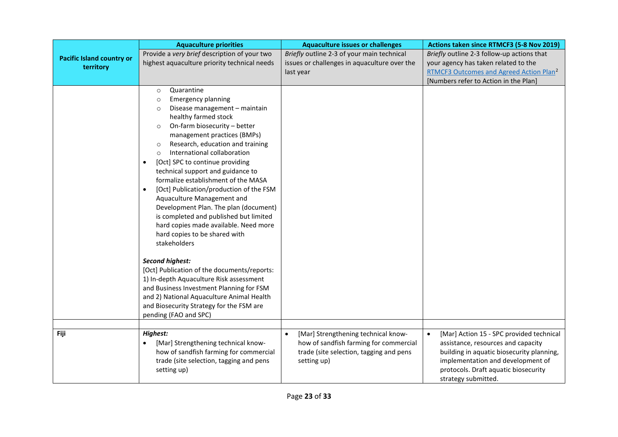|                                               | <b>Aquaculture priorities</b>                                                                                                                                                                                                                                                                                                                                                                                                                                                                                                                                                                                                                                                                                                                                                | <b>Aquaculture issues or challenges</b>                                                                                                              | Actions taken since RTMCF3 (5-8 Nov 2019)                                                                                                                                                                                                    |
|-----------------------------------------------|------------------------------------------------------------------------------------------------------------------------------------------------------------------------------------------------------------------------------------------------------------------------------------------------------------------------------------------------------------------------------------------------------------------------------------------------------------------------------------------------------------------------------------------------------------------------------------------------------------------------------------------------------------------------------------------------------------------------------------------------------------------------------|------------------------------------------------------------------------------------------------------------------------------------------------------|----------------------------------------------------------------------------------------------------------------------------------------------------------------------------------------------------------------------------------------------|
| <b>Pacific Island country or</b><br>territory | Provide a very brief description of your two<br>highest aquaculture priority technical needs                                                                                                                                                                                                                                                                                                                                                                                                                                                                                                                                                                                                                                                                                 | Briefly outline 2-3 of your main technical<br>issues or challenges in aquaculture over the<br>last year                                              | Briefly outline 2-3 follow-up actions that<br>your agency has taken related to the<br>RTMCF3 Outcomes and Agreed Action Plan <sup>2</sup><br>[Numbers refer to Action in the Plan]                                                           |
|                                               | Quarantine<br>$\circ$<br><b>Emergency planning</b><br>$\circ$<br>Disease management - maintain<br>$\circ$<br>healthy farmed stock<br>On-farm biosecurity - better<br>$\circ$<br>management practices (BMPs)<br>Research, education and training<br>$\circ$<br>International collaboration<br>$\circ$<br>[Oct] SPC to continue providing<br>$\bullet$<br>technical support and guidance to<br>formalize establishment of the MASA<br>[Oct] Publication/production of the FSM<br>$\bullet$<br>Aquaculture Management and<br>Development Plan. The plan (document)<br>is completed and published but limited<br>hard copies made available. Need more<br>hard copies to be shared with<br>stakeholders<br><b>Second highest:</b><br>[Oct] Publication of the documents/reports: |                                                                                                                                                      |                                                                                                                                                                                                                                              |
|                                               | 1) In-depth Aquaculture Risk assessment<br>and Business Investment Planning for FSM<br>and 2) National Aquaculture Animal Health<br>and Biosecurity Strategy for the FSM are<br>pending (FAO and SPC)                                                                                                                                                                                                                                                                                                                                                                                                                                                                                                                                                                        |                                                                                                                                                      |                                                                                                                                                                                                                                              |
| Fiji                                          | Highest:<br>[Mar] Strengthening technical know-<br>$\bullet$<br>how of sandfish farming for commercial<br>trade (site selection, tagging and pens<br>setting up)                                                                                                                                                                                                                                                                                                                                                                                                                                                                                                                                                                                                             | [Mar] Strengthening technical know-<br>$\bullet$<br>how of sandfish farming for commercial<br>trade (site selection, tagging and pens<br>setting up) | [Mar] Action 15 - SPC provided technical<br>$\bullet$<br>assistance, resources and capacity<br>building in aquatic biosecurity planning,<br>implementation and development of<br>protocols. Draft aquatic biosecurity<br>strategy submitted. |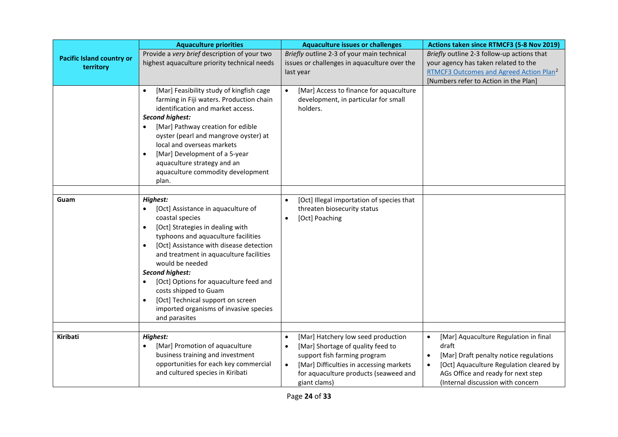|                                               | <b>Aquaculture priorities</b>                                                                                                                                                                                                                                                                                                                                                                                                                                                             | <b>Aquaculture issues or challenges</b>                                                                                                                                                                               | Actions taken since RTMCF3 (5-8 Nov 2019)                                                                                                                                              |
|-----------------------------------------------|-------------------------------------------------------------------------------------------------------------------------------------------------------------------------------------------------------------------------------------------------------------------------------------------------------------------------------------------------------------------------------------------------------------------------------------------------------------------------------------------|-----------------------------------------------------------------------------------------------------------------------------------------------------------------------------------------------------------------------|----------------------------------------------------------------------------------------------------------------------------------------------------------------------------------------|
| <b>Pacific Island country or</b><br>territory | Provide a very brief description of your two<br>highest aquaculture priority technical needs                                                                                                                                                                                                                                                                                                                                                                                              | Briefly outline 2-3 of your main technical<br>issues or challenges in aquaculture over the<br>last year                                                                                                               | Briefly outline 2-3 follow-up actions that<br>your agency has taken related to the<br>RTMCF3 Outcomes and Agreed Action Plan <sup>2</sup><br>[Numbers refer to Action in the Plan]     |
|                                               | [Mar] Feasibility study of kingfish cage<br>farming in Fiji waters. Production chain<br>identification and market access.<br><b>Second highest:</b><br>[Mar] Pathway creation for edible<br>oyster (pearl and mangrove oyster) at<br>local and overseas markets<br>[Mar] Development of a 5-year<br>aquaculture strategy and an<br>aquaculture commodity development<br>plan.                                                                                                             | [Mar] Access to finance for aquaculture<br>$\bullet$<br>development, in particular for small<br>holders.                                                                                                              |                                                                                                                                                                                        |
|                                               |                                                                                                                                                                                                                                                                                                                                                                                                                                                                                           |                                                                                                                                                                                                                       |                                                                                                                                                                                        |
| Guam                                          | Highest:<br>[Oct] Assistance in aquaculture of<br>coastal species<br>[Oct] Strategies in dealing with<br>$\bullet$<br>typhoons and aquaculture facilities<br>[Oct] Assistance with disease detection<br>$\bullet$<br>and treatment in aquaculture facilities<br>would be needed<br><b>Second highest:</b><br>[Oct] Options for aquaculture feed and<br>costs shipped to Guam<br>[Oct] Technical support on screen<br>$\bullet$<br>imported organisms of invasive species<br>and parasites | [Oct] Illegal importation of species that<br>$\bullet$<br>threaten biosecurity status<br>[Oct] Poaching                                                                                                               |                                                                                                                                                                                        |
| <b>Kiribati</b>                               | Highest:<br>[Mar] Promotion of aquaculture<br>business training and investment<br>opportunities for each key commercial<br>and cultured species in Kiribati                                                                                                                                                                                                                                                                                                                               | [Mar] Hatchery low seed production<br>$\bullet$<br>[Mar] Shortage of quality feed to<br>support fish farming program<br>[Mar] Difficulties in accessing markets<br>$\bullet$<br>for aquaculture products (seaweed and | [Mar] Aquaculture Regulation in final<br>draft<br>[Mar] Draft penalty notice regulations<br>[Oct] Aquaculture Regulation cleared by<br>$\bullet$<br>AGs Office and ready for next step |
|                                               |                                                                                                                                                                                                                                                                                                                                                                                                                                                                                           | giant clams)                                                                                                                                                                                                          | (Internal discussion with concern                                                                                                                                                      |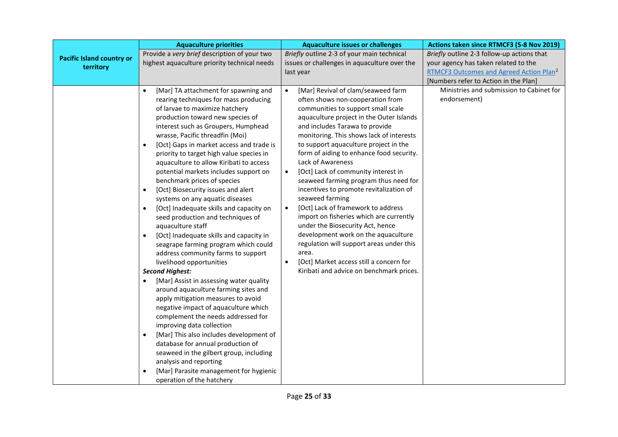|                                  | <b>Aquaculture priorities</b>                                                                                                                                                                                                                                                                                                                                                                                                                                                                                                                                                                                                                                                                                                                                                                                                                                                                                                                                                                                                                                                                                                                                                                                                                                                                                                                                    | <b>Aquaculture issues or challenges</b>                                                                                                                                                                                                                                                                                                                                                                                                                                                                                                                                                                                                                                                                                                                                                                                                                    | Actions taken since RTMCF3 (5-8 Nov 2019)                                                   |
|----------------------------------|------------------------------------------------------------------------------------------------------------------------------------------------------------------------------------------------------------------------------------------------------------------------------------------------------------------------------------------------------------------------------------------------------------------------------------------------------------------------------------------------------------------------------------------------------------------------------------------------------------------------------------------------------------------------------------------------------------------------------------------------------------------------------------------------------------------------------------------------------------------------------------------------------------------------------------------------------------------------------------------------------------------------------------------------------------------------------------------------------------------------------------------------------------------------------------------------------------------------------------------------------------------------------------------------------------------------------------------------------------------|------------------------------------------------------------------------------------------------------------------------------------------------------------------------------------------------------------------------------------------------------------------------------------------------------------------------------------------------------------------------------------------------------------------------------------------------------------------------------------------------------------------------------------------------------------------------------------------------------------------------------------------------------------------------------------------------------------------------------------------------------------------------------------------------------------------------------------------------------------|---------------------------------------------------------------------------------------------|
| <b>Pacific Island country or</b> | Provide a very brief description of your two                                                                                                                                                                                                                                                                                                                                                                                                                                                                                                                                                                                                                                                                                                                                                                                                                                                                                                                                                                                                                                                                                                                                                                                                                                                                                                                     | Briefly outline 2-3 of your main technical                                                                                                                                                                                                                                                                                                                                                                                                                                                                                                                                                                                                                                                                                                                                                                                                                 | Briefly outline 2-3 follow-up actions that                                                  |
| territory                        | highest aquaculture priority technical needs                                                                                                                                                                                                                                                                                                                                                                                                                                                                                                                                                                                                                                                                                                                                                                                                                                                                                                                                                                                                                                                                                                                                                                                                                                                                                                                     | issues or challenges in aquaculture over the<br>last year                                                                                                                                                                                                                                                                                                                                                                                                                                                                                                                                                                                                                                                                                                                                                                                                  | your agency has taken related to the<br>RTMCF3 Outcomes and Agreed Action Plan <sup>2</sup> |
|                                  |                                                                                                                                                                                                                                                                                                                                                                                                                                                                                                                                                                                                                                                                                                                                                                                                                                                                                                                                                                                                                                                                                                                                                                                                                                                                                                                                                                  |                                                                                                                                                                                                                                                                                                                                                                                                                                                                                                                                                                                                                                                                                                                                                                                                                                                            | [Numbers refer to Action in the Plan]                                                       |
|                                  | [Mar] TA attachment for spawning and<br>$\bullet$<br>rearing techniques for mass producing<br>of larvae to maximize hatchery<br>production toward new species of<br>interest such as Groupers, Humphead<br>wrasse, Pacific threadfin (Moi)<br>[Oct] Gaps in market access and trade is<br>$\bullet$<br>priority to target high value species in<br>aquaculture to allow Kiribati to access<br>potential markets includes support on<br>benchmark prices of species<br>[Oct] Biosecurity issues and alert<br>$\bullet$<br>systems on any aquatic diseases<br>[Oct] Inadequate skills and capacity on<br>$\bullet$<br>seed production and techniques of<br>aquaculture staff<br>[Oct] Inadequate skills and capacity in<br>$\bullet$<br>seagrape farming program which could<br>address community farms to support<br>livelihood opportunities<br><b>Second Highest:</b><br>[Mar] Assist in assessing water quality<br>$\bullet$<br>around aquaculture farming sites and<br>apply mitigation measures to avoid<br>negative impact of aquaculture which<br>complement the needs addressed for<br>improving data collection<br>[Mar] This also includes development of<br>$\bullet$<br>database for annual production of<br>seaweed in the gilbert group, including<br>analysis and reporting<br>[Mar] Parasite management for hygienic<br>operation of the hatchery | [Mar] Revival of clam/seaweed farm<br>$\bullet$<br>often shows non-cooperation from<br>communities to support small scale<br>aquaculture project in the Outer Islands<br>and includes Tarawa to provide<br>monitoring. This shows lack of interests<br>to support aquaculture project in the<br>form of aiding to enhance food security.<br>Lack of Awareness<br>[Oct] Lack of community interest in<br>$\bullet$<br>seaweed farming program thus need for<br>incentives to promote revitalization of<br>seaweed farming<br>[Oct] Lack of framework to address<br>$\bullet$<br>import on fisheries which are currently<br>under the Biosecurity Act, hence<br>development work on the aquaculture<br>regulation will support areas under this<br>area.<br>[Oct] Market access still a concern for<br>$\bullet$<br>Kiribati and advice on benchmark prices. | Ministries and submission to Cabinet for<br>endorsement)                                    |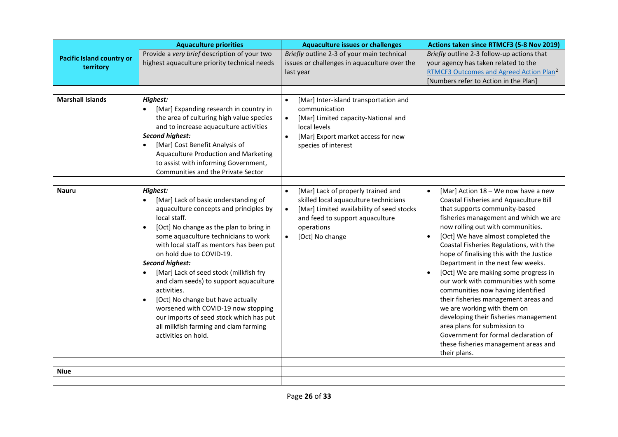|                                               | <b>Aquaculture priorities</b>                                                                                                                                                                                                                                                                                                                                                                                                                                                                                                                                                                          | <b>Aquaculture issues or challenges</b>                                                                                                                                                                                | Actions taken since RTMCF3 (5-8 Nov 2019)                                                                                                                                                                                                                                                                                                                                                                                                                                                                                                                                                                                                                                                                                                       |
|-----------------------------------------------|--------------------------------------------------------------------------------------------------------------------------------------------------------------------------------------------------------------------------------------------------------------------------------------------------------------------------------------------------------------------------------------------------------------------------------------------------------------------------------------------------------------------------------------------------------------------------------------------------------|------------------------------------------------------------------------------------------------------------------------------------------------------------------------------------------------------------------------|-------------------------------------------------------------------------------------------------------------------------------------------------------------------------------------------------------------------------------------------------------------------------------------------------------------------------------------------------------------------------------------------------------------------------------------------------------------------------------------------------------------------------------------------------------------------------------------------------------------------------------------------------------------------------------------------------------------------------------------------------|
| <b>Pacific Island country or</b><br>territory | Provide a very brief description of your two<br>highest aquaculture priority technical needs                                                                                                                                                                                                                                                                                                                                                                                                                                                                                                           | Briefly outline 2-3 of your main technical<br>issues or challenges in aquaculture over the<br>last year                                                                                                                | Briefly outline 2-3 follow-up actions that<br>your agency has taken related to the<br>RTMCF3 Outcomes and Agreed Action Plan <sup>2</sup><br>[Numbers refer to Action in the Plan]                                                                                                                                                                                                                                                                                                                                                                                                                                                                                                                                                              |
|                                               |                                                                                                                                                                                                                                                                                                                                                                                                                                                                                                                                                                                                        |                                                                                                                                                                                                                        |                                                                                                                                                                                                                                                                                                                                                                                                                                                                                                                                                                                                                                                                                                                                                 |
| <b>Marshall Islands</b>                       | <b>Highest:</b><br>[Mar] Expanding research in country in<br>$\bullet$<br>the area of culturing high value species<br>and to increase aquaculture activities<br><b>Second highest:</b><br>[Mar] Cost Benefit Analysis of<br>Aquaculture Production and Marketing<br>to assist with informing Government,<br>Communities and the Private Sector                                                                                                                                                                                                                                                         | [Mar] Inter-island transportation and<br>$\bullet$<br>communication<br>[Mar] Limited capacity-National and<br>$\bullet$<br>local levels<br>[Mar] Export market access for new<br>$\bullet$<br>species of interest      |                                                                                                                                                                                                                                                                                                                                                                                                                                                                                                                                                                                                                                                                                                                                                 |
| <b>Nauru</b>                                  | Highest:<br>[Mar] Lack of basic understanding of<br>aquaculture concepts and principles by<br>local staff.<br>[Oct] No change as the plan to bring in<br>some aquaculture technicians to work<br>with local staff as mentors has been put<br>on hold due to COVID-19.<br><b>Second highest:</b><br>[Mar] Lack of seed stock (milkfish fry<br>and clam seeds) to support aquaculture<br>activities.<br>[Oct] No change but have actually<br>$\bullet$<br>worsened with COVID-19 now stopping<br>our imports of seed stock which has put<br>all milkfish farming and clam farming<br>activities on hold. | [Mar] Lack of properly trained and<br>$\bullet$<br>skilled local aquaculture technicians<br>[Mar] Limited availability of seed stocks<br>$\bullet$<br>and feed to support aquaculture<br>operations<br>[Oct] No change | [Mar] Action 18 - We now have a new<br>$\bullet$<br>Coastal Fisheries and Aquaculture Bill<br>that supports community-based<br>fisheries management and which we are<br>now rolling out with communities.<br>[Oct] We have almost completed the<br>Coastal Fisheries Regulations, with the<br>hope of finalising this with the Justice<br>Department in the next few weeks.<br>[Oct] We are making some progress in<br>our work with communities with some<br>communities now having identified<br>their fisheries management areas and<br>we are working with them on<br>developing their fisheries management<br>area plans for submission to<br>Government for formal declaration of<br>these fisheries management areas and<br>their plans. |
| <b>Niue</b>                                   |                                                                                                                                                                                                                                                                                                                                                                                                                                                                                                                                                                                                        |                                                                                                                                                                                                                        |                                                                                                                                                                                                                                                                                                                                                                                                                                                                                                                                                                                                                                                                                                                                                 |
|                                               |                                                                                                                                                                                                                                                                                                                                                                                                                                                                                                                                                                                                        |                                                                                                                                                                                                                        |                                                                                                                                                                                                                                                                                                                                                                                                                                                                                                                                                                                                                                                                                                                                                 |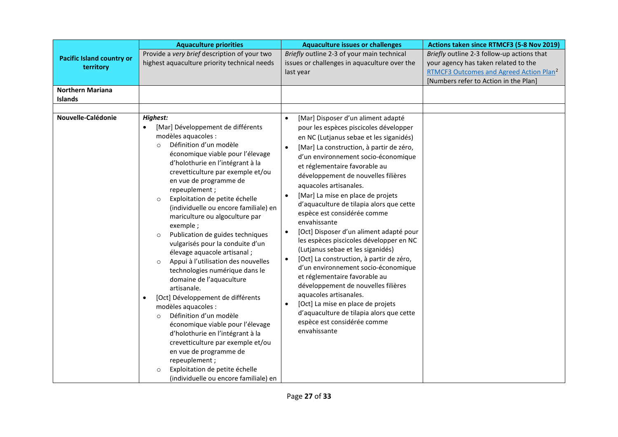|                                               | <b>Aquaculture priorities</b>                                                                                                                                                                                                                                                                                                                                                                                                                                                                                                                                                                                                                                                                                                                                                                                                                                                                                                                                                                                                     | <b>Aquaculture issues or challenges</b>                                                                                                                                                                                                                                                                                                                                                                                                                                                                                                                                                                                                                                                                                                                                                                                                                                                                                                                                    | Actions taken since RTMCF3 (5-8 Nov 2019)                                                                                                                                          |
|-----------------------------------------------|-----------------------------------------------------------------------------------------------------------------------------------------------------------------------------------------------------------------------------------------------------------------------------------------------------------------------------------------------------------------------------------------------------------------------------------------------------------------------------------------------------------------------------------------------------------------------------------------------------------------------------------------------------------------------------------------------------------------------------------------------------------------------------------------------------------------------------------------------------------------------------------------------------------------------------------------------------------------------------------------------------------------------------------|----------------------------------------------------------------------------------------------------------------------------------------------------------------------------------------------------------------------------------------------------------------------------------------------------------------------------------------------------------------------------------------------------------------------------------------------------------------------------------------------------------------------------------------------------------------------------------------------------------------------------------------------------------------------------------------------------------------------------------------------------------------------------------------------------------------------------------------------------------------------------------------------------------------------------------------------------------------------------|------------------------------------------------------------------------------------------------------------------------------------------------------------------------------------|
| <b>Pacific Island country or</b><br>territory | Provide a very brief description of your two<br>highest aquaculture priority technical needs                                                                                                                                                                                                                                                                                                                                                                                                                                                                                                                                                                                                                                                                                                                                                                                                                                                                                                                                      | Briefly outline 2-3 of your main technical<br>issues or challenges in aquaculture over the<br>last year                                                                                                                                                                                                                                                                                                                                                                                                                                                                                                                                                                                                                                                                                                                                                                                                                                                                    | Briefly outline 2-3 follow-up actions that<br>your agency has taken related to the<br>RTMCF3 Outcomes and Agreed Action Plan <sup>2</sup><br>[Numbers refer to Action in the Plan] |
| <b>Northern Mariana</b><br><b>Islands</b>     |                                                                                                                                                                                                                                                                                                                                                                                                                                                                                                                                                                                                                                                                                                                                                                                                                                                                                                                                                                                                                                   |                                                                                                                                                                                                                                                                                                                                                                                                                                                                                                                                                                                                                                                                                                                                                                                                                                                                                                                                                                            |                                                                                                                                                                                    |
| Nouvelle-Calédonie                            | Highest:<br>[Mar] Développement de différents<br>$\bullet$<br>modèles aquacoles :<br>Définition d'un modèle<br>$\Omega$<br>économique viable pour l'élevage<br>d'holothurie en l'intégrant à la<br>crevetticulture par exemple et/ou<br>en vue de programme de<br>repeuplement;<br>Exploitation de petite échelle<br>$\circ$<br>(individuelle ou encore familiale) en<br>mariculture ou algoculture par<br>exemple;<br>Publication de guides techniques<br>$\circ$<br>vulgarisés pour la conduite d'un<br>élevage aquacole artisanal;<br>Appui à l'utilisation des nouvelles<br>$\circ$<br>technologies numérique dans le<br>domaine de l'aquaculture<br>artisanale.<br>[Oct] Développement de différents<br>$\bullet$<br>modèles aquacoles :<br>Définition d'un modèle<br>$\Omega$<br>économique viable pour l'élevage<br>d'holothurie en l'intégrant à la<br>crevetticulture par exemple et/ou<br>en vue de programme de<br>repeuplement;<br>Exploitation de petite échelle<br>$\circ$<br>(individuelle ou encore familiale) en | [Mar] Disposer d'un aliment adapté<br>$\bullet$<br>pour les espèces piscicoles développer<br>en NC (Lutjanus sebae et les siganidés)<br>[Mar] La construction, à partir de zéro,<br>$\bullet$<br>d'un environnement socio-économique<br>et réglementaire favorable au<br>développement de nouvelles filières<br>aquacoles artisanales.<br>[Mar] La mise en place de projets<br>$\bullet$<br>d'aquaculture de tilapia alors que cette<br>espèce est considérée comme<br>envahissante<br>[Oct] Disposer d'un aliment adapté pour<br>$\bullet$<br>les espèces piscicoles développer en NC<br>(Lutjanus sebae et les siganidés)<br>[Oct] La construction, à partir de zéro,<br>$\bullet$<br>d'un environnement socio-économique<br>et réglementaire favorable au<br>développement de nouvelles filières<br>aquacoles artisanales.<br>[Oct] La mise en place de projets<br>$\bullet$<br>d'aquaculture de tilapia alors que cette<br>espèce est considérée comme<br>envahissante |                                                                                                                                                                                    |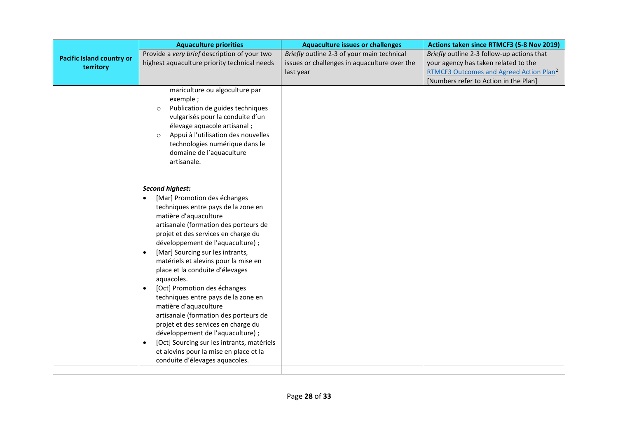|                                               | <b>Aquaculture priorities</b>                                                                                                                                                                                                                                                                                                                                                                                                                                                                                                                                                                                                                                                                                                                                  | <b>Aquaculture issues or challenges</b>                                                                 | Actions taken since RTMCF3 (5-8 Nov 2019)                                                                                                 |
|-----------------------------------------------|----------------------------------------------------------------------------------------------------------------------------------------------------------------------------------------------------------------------------------------------------------------------------------------------------------------------------------------------------------------------------------------------------------------------------------------------------------------------------------------------------------------------------------------------------------------------------------------------------------------------------------------------------------------------------------------------------------------------------------------------------------------|---------------------------------------------------------------------------------------------------------|-------------------------------------------------------------------------------------------------------------------------------------------|
| <b>Pacific Island country or</b><br>territory | Provide a very brief description of your two<br>highest aquaculture priority technical needs                                                                                                                                                                                                                                                                                                                                                                                                                                                                                                                                                                                                                                                                   | Briefly outline 2-3 of your main technical<br>issues or challenges in aquaculture over the<br>last year | Briefly outline 2-3 follow-up actions that<br>your agency has taken related to the<br>RTMCF3 Outcomes and Agreed Action Plan <sup>2</sup> |
|                                               |                                                                                                                                                                                                                                                                                                                                                                                                                                                                                                                                                                                                                                                                                                                                                                |                                                                                                         | [Numbers refer to Action in the Plan]                                                                                                     |
|                                               | mariculture ou algoculture par<br>exemple;<br>Publication de guides techniques<br>$\circ$<br>vulgarisés pour la conduite d'un<br>élevage aquacole artisanal;<br>Appui à l'utilisation des nouvelles<br>$\circ$<br>technologies numérique dans le<br>domaine de l'aquaculture<br>artisanale.                                                                                                                                                                                                                                                                                                                                                                                                                                                                    |                                                                                                         |                                                                                                                                           |
|                                               | <b>Second highest:</b><br>[Mar] Promotion des échanges<br>techniques entre pays de la zone en<br>matière d'aquaculture<br>artisanale (formation des porteurs de<br>projet et des services en charge du<br>développement de l'aquaculture) ;<br>[Mar] Sourcing sur les intrants,<br>$\bullet$<br>matériels et alevins pour la mise en<br>place et la conduite d'élevages<br>aquacoles.<br>[Oct] Promotion des échanges<br>$\bullet$<br>techniques entre pays de la zone en<br>matière d'aquaculture<br>artisanale (formation des porteurs de<br>projet et des services en charge du<br>développement de l'aquaculture) ;<br>[Oct] Sourcing sur les intrants, matériels<br>$\bullet$<br>et alevins pour la mise en place et la<br>conduite d'élevages aquacoles. |                                                                                                         |                                                                                                                                           |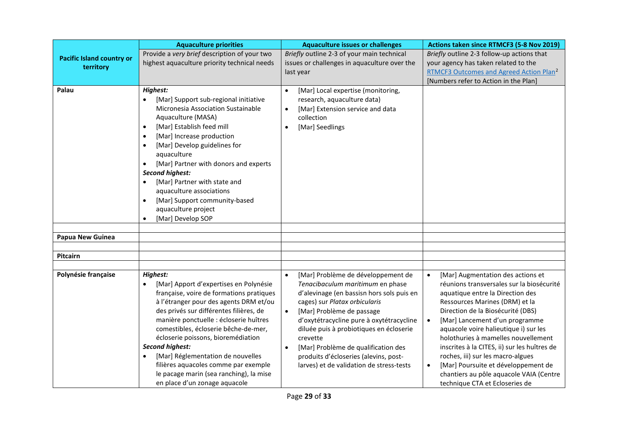|                                               | <b>Aquaculture priorities</b>                                                                                                                                                                                                                                                                                                                                                                                                                                                                                                   | <b>Aquaculture issues or challenges</b>                                                                                                                                                                                                                                                                                                                                                                                                                 | Actions taken since RTMCF3 (5-8 Nov 2019)                                                                                                                                                                                                                                                                                                                                                                                                                                                                                                      |
|-----------------------------------------------|---------------------------------------------------------------------------------------------------------------------------------------------------------------------------------------------------------------------------------------------------------------------------------------------------------------------------------------------------------------------------------------------------------------------------------------------------------------------------------------------------------------------------------|---------------------------------------------------------------------------------------------------------------------------------------------------------------------------------------------------------------------------------------------------------------------------------------------------------------------------------------------------------------------------------------------------------------------------------------------------------|------------------------------------------------------------------------------------------------------------------------------------------------------------------------------------------------------------------------------------------------------------------------------------------------------------------------------------------------------------------------------------------------------------------------------------------------------------------------------------------------------------------------------------------------|
| <b>Pacific Island country or</b><br>territory | Provide a very brief description of your two<br>highest aquaculture priority technical needs                                                                                                                                                                                                                                                                                                                                                                                                                                    | Briefly outline 2-3 of your main technical<br>issues or challenges in aquaculture over the<br>last year                                                                                                                                                                                                                                                                                                                                                 | Briefly outline 2-3 follow-up actions that<br>your agency has taken related to the<br>RTMCF3 Outcomes and Agreed Action Plan <sup>2</sup><br>[Numbers refer to Action in the Plan]                                                                                                                                                                                                                                                                                                                                                             |
| Palau                                         | <b>Highest:</b><br>[Mar] Support sub-regional initiative<br>Micronesia Association Sustainable<br>Aquaculture (MASA)<br>[Mar] Establish feed mill<br>$\bullet$<br>[Mar] Increase production<br>$\bullet$<br>[Mar] Develop guidelines for<br>$\bullet$<br>aquaculture<br>[Mar] Partner with donors and experts<br><b>Second highest:</b><br>[Mar] Partner with state and<br>$\bullet$<br>aquaculture associations<br>[Mar] Support community-based<br>$\bullet$<br>aquaculture project<br>[Mar] Develop SOP<br>$\bullet$         | [Mar] Local expertise (monitoring,<br>$\bullet$<br>research, aquaculture data)<br>[Mar] Extension service and data<br>$\bullet$<br>collection<br>[Mar] Seedlings                                                                                                                                                                                                                                                                                        |                                                                                                                                                                                                                                                                                                                                                                                                                                                                                                                                                |
| <b>Papua New Guinea</b>                       |                                                                                                                                                                                                                                                                                                                                                                                                                                                                                                                                 |                                                                                                                                                                                                                                                                                                                                                                                                                                                         |                                                                                                                                                                                                                                                                                                                                                                                                                                                                                                                                                |
|                                               |                                                                                                                                                                                                                                                                                                                                                                                                                                                                                                                                 |                                                                                                                                                                                                                                                                                                                                                                                                                                                         |                                                                                                                                                                                                                                                                                                                                                                                                                                                                                                                                                |
| Pitcairn                                      |                                                                                                                                                                                                                                                                                                                                                                                                                                                                                                                                 |                                                                                                                                                                                                                                                                                                                                                                                                                                                         |                                                                                                                                                                                                                                                                                                                                                                                                                                                                                                                                                |
|                                               |                                                                                                                                                                                                                                                                                                                                                                                                                                                                                                                                 |                                                                                                                                                                                                                                                                                                                                                                                                                                                         |                                                                                                                                                                                                                                                                                                                                                                                                                                                                                                                                                |
| Polynésie française                           | <b>Highest:</b><br>[Mar] Apport d'expertises en Polynésie<br>$\bullet$<br>française, voire de formations pratiques<br>à l'étranger pour des agents DRM et/ou<br>des privés sur différentes filières, de<br>manière ponctuelle : écloserie huîtres<br>comestibles, écloserie bêche-de-mer,<br>écloserie poissons, bioremédiation<br><b>Second highest:</b><br>[Mar] Réglementation de nouvelles<br>$\bullet$<br>filières aquacoles comme par exemple<br>le pacage marin (sea ranching), la mise<br>en place d'un zonage aquacole | [Mar] Problème de développement de<br>$\bullet$<br>Tenacibaculum maritimum en phase<br>d'alevinage (en bassisn hors sols puis en<br>cages) sur Platax orbicularis<br>[Mar] Problème de passage<br>$\bullet$<br>d'oxytétracycline pure à oxytétracycline<br>diluée puis à probiotiques en écloserie<br>crevette<br>[Mar] Problème de qualification des<br>$\bullet$<br>produits d'écloseries (alevins, post-<br>larves) et de validation de stress-tests | [Mar] Augmentation des actions et<br>réunions transversales sur la biosécurité<br>aquatique entre la Direction des<br>Ressources Marines (DRM) et la<br>Direction de la Biosécurité (DBS)<br>[Mar] Lancement d'un programme<br>$\bullet$<br>aquacole voire halieutique i) sur les<br>holothuries à mamelles nouvellement<br>inscrites à la CITES, ii) sur les huîtres de<br>roches, iii) sur les macro-algues<br>[Mar] Poursuite et développement de<br>$\bullet$<br>chantiers au pôle aquacole VAIA (Centre<br>technique CTA et Ecloseries de |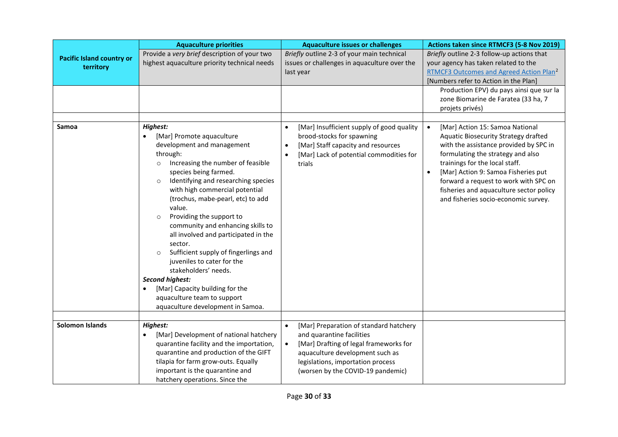|                                               | <b>Aquaculture priorities</b>                                                                                                                                                                                                                                                                                                                                                                                                                                                                                                                                                                                                                                   | <b>Aquaculture issues or challenges</b>                                                                                                                                                     | Actions taken since RTMCF3 (5-8 Nov 2019)                                                                                                                                                                                                                                                                                                                                             |
|-----------------------------------------------|-----------------------------------------------------------------------------------------------------------------------------------------------------------------------------------------------------------------------------------------------------------------------------------------------------------------------------------------------------------------------------------------------------------------------------------------------------------------------------------------------------------------------------------------------------------------------------------------------------------------------------------------------------------------|---------------------------------------------------------------------------------------------------------------------------------------------------------------------------------------------|---------------------------------------------------------------------------------------------------------------------------------------------------------------------------------------------------------------------------------------------------------------------------------------------------------------------------------------------------------------------------------------|
| <b>Pacific Island country or</b><br>territory | Provide a very brief description of your two<br>highest aquaculture priority technical needs                                                                                                                                                                                                                                                                                                                                                                                                                                                                                                                                                                    | Briefly outline 2-3 of your main technical<br>issues or challenges in aquaculture over the                                                                                                  | Briefly outline 2-3 follow-up actions that<br>your agency has taken related to the                                                                                                                                                                                                                                                                                                    |
|                                               |                                                                                                                                                                                                                                                                                                                                                                                                                                                                                                                                                                                                                                                                 | last year                                                                                                                                                                                   | RTMCF3 Outcomes and Agreed Action Plan <sup>2</sup><br>[Numbers refer to Action in the Plan]                                                                                                                                                                                                                                                                                          |
|                                               |                                                                                                                                                                                                                                                                                                                                                                                                                                                                                                                                                                                                                                                                 |                                                                                                                                                                                             | Production EPV) du pays ainsi que sur la<br>zone Biomarine de Faratea (33 ha, 7<br>projets privés)                                                                                                                                                                                                                                                                                    |
|                                               |                                                                                                                                                                                                                                                                                                                                                                                                                                                                                                                                                                                                                                                                 |                                                                                                                                                                                             |                                                                                                                                                                                                                                                                                                                                                                                       |
| Samoa                                         | Highest:<br>[Mar] Promote aquaculture<br>development and management<br>through:<br>Increasing the number of feasible<br>$\circ$<br>species being farmed.<br>Identifying and researching species<br>$\circ$<br>with high commercial potential<br>(trochus, mabe-pearl, etc) to add<br>value.<br>Providing the support to<br>$\circ$<br>community and enhancing skills to<br>all involved and participated in the<br>sector.<br>Sufficient supply of fingerlings and<br>juveniles to cater for the<br>stakeholders' needs.<br>Second highest:<br>[Mar] Capacity building for the<br>$\bullet$<br>aquaculture team to support<br>aquaculture development in Samoa. | [Mar] Insufficient supply of good quality<br>$\bullet$<br>brood-stocks for spawning<br>[Mar] Staff capacity and resources<br>$\bullet$<br>[Mar] Lack of potential commodities for<br>trials | [Mar] Action 15: Samoa National<br>$\bullet$<br>Aquatic Biosecurity Strategy drafted<br>with the assistance provided by SPC in<br>formulating the strategy and also<br>trainings for the local staff.<br>[Mar] Action 9: Samoa Fisheries put<br>$\bullet$<br>forward a request to work with SPC on<br>fisheries and aquaculture sector policy<br>and fisheries socio-economic survey. |
|                                               |                                                                                                                                                                                                                                                                                                                                                                                                                                                                                                                                                                                                                                                                 |                                                                                                                                                                                             |                                                                                                                                                                                                                                                                                                                                                                                       |
| Solomon Islands                               | Highest:<br>[Mar] Development of national hatchery<br>$\bullet$                                                                                                                                                                                                                                                                                                                                                                                                                                                                                                                                                                                                 | [Mar] Preparation of standard hatchery<br>$\bullet$<br>and quarantine facilities                                                                                                            |                                                                                                                                                                                                                                                                                                                                                                                       |
|                                               | quarantine facility and the importation,                                                                                                                                                                                                                                                                                                                                                                                                                                                                                                                                                                                                                        | [Mar] Drafting of legal frameworks for<br>$\bullet$                                                                                                                                         |                                                                                                                                                                                                                                                                                                                                                                                       |
|                                               | quarantine and production of the GIFT                                                                                                                                                                                                                                                                                                                                                                                                                                                                                                                                                                                                                           | aquaculture development such as                                                                                                                                                             |                                                                                                                                                                                                                                                                                                                                                                                       |
|                                               | tilapia for farm grow-outs. Equally<br>important is the quarantine and                                                                                                                                                                                                                                                                                                                                                                                                                                                                                                                                                                                          | legislations, importation process                                                                                                                                                           |                                                                                                                                                                                                                                                                                                                                                                                       |
|                                               | hatchery operations. Since the                                                                                                                                                                                                                                                                                                                                                                                                                                                                                                                                                                                                                                  | (worsen by the COVID-19 pandemic)                                                                                                                                                           |                                                                                                                                                                                                                                                                                                                                                                                       |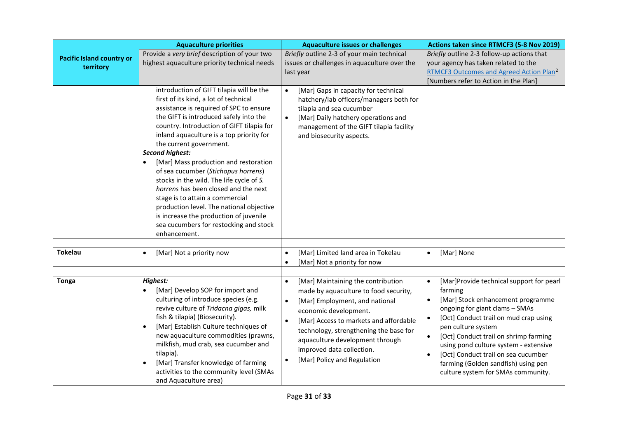|                                               | <b>Aquaculture priorities</b>                                                                                                                                                                                                                                                                                                                                                                                                                                                                                                                                                                                                                                                            | <b>Aquaculture issues or challenges</b>                                                                                                                                                                                                                                                                                                                                       | Actions taken since RTMCF3 (5-8 Nov 2019)                                                                                                                                                                                                                                                                                                                                                                                                                        |
|-----------------------------------------------|------------------------------------------------------------------------------------------------------------------------------------------------------------------------------------------------------------------------------------------------------------------------------------------------------------------------------------------------------------------------------------------------------------------------------------------------------------------------------------------------------------------------------------------------------------------------------------------------------------------------------------------------------------------------------------------|-------------------------------------------------------------------------------------------------------------------------------------------------------------------------------------------------------------------------------------------------------------------------------------------------------------------------------------------------------------------------------|------------------------------------------------------------------------------------------------------------------------------------------------------------------------------------------------------------------------------------------------------------------------------------------------------------------------------------------------------------------------------------------------------------------------------------------------------------------|
| <b>Pacific Island country or</b><br>territory | Provide a very brief description of your two<br>highest aquaculture priority technical needs                                                                                                                                                                                                                                                                                                                                                                                                                                                                                                                                                                                             | Briefly outline 2-3 of your main technical<br>issues or challenges in aquaculture over the<br>last year                                                                                                                                                                                                                                                                       | Briefly outline 2-3 follow-up actions that<br>your agency has taken related to the<br>RTMCF3 Outcomes and Agreed Action Plan <sup>2</sup><br>[Numbers refer to Action in the Plan]                                                                                                                                                                                                                                                                               |
|                                               | introduction of GIFT tilapia will be the<br>first of its kind, a lot of technical<br>assistance is required of SPC to ensure<br>the GIFT is introduced safely into the<br>country. Introduction of GIFT tilapia for<br>inland aquaculture is a top priority for<br>the current government.<br><b>Second highest:</b><br>[Mar] Mass production and restoration<br>$\bullet$<br>of sea cucumber (Stichopus horrens)<br>stocks in the wild. The life cycle of S.<br>horrens has been closed and the next<br>stage is to attain a commercial<br>production level. The national objective<br>is increase the production of juvenile<br>sea cucumbers for restocking and stock<br>enhancement. | [Mar] Gaps in capacity for technical<br>$\bullet$<br>hatchery/lab officers/managers both for<br>tilapia and sea cucumber<br>[Mar] Daily hatchery operations and<br>$\bullet$<br>management of the GIFT tilapia facility<br>and biosecurity aspects.                                                                                                                           |                                                                                                                                                                                                                                                                                                                                                                                                                                                                  |
| <b>Tokelau</b>                                | [Mar] Not a priority now<br>$\bullet$                                                                                                                                                                                                                                                                                                                                                                                                                                                                                                                                                                                                                                                    | [Mar] Limited land area in Tokelau<br>$\bullet$<br>[Mar] Not a priority for now                                                                                                                                                                                                                                                                                               | [Mar] None<br>$\bullet$                                                                                                                                                                                                                                                                                                                                                                                                                                          |
| <b>Tonga</b>                                  | Highest:<br>[Mar] Develop SOP for import and<br>$\bullet$<br>culturing of introduce species (e.g.<br>revive culture of Tridacna gigas, milk<br>fish & tilapia) (Biosecurity).<br>[Mar] Establish Culture techniques of<br>$\bullet$<br>new aquaculture commodities (prawns,<br>milkfish, mud crab, sea cucumber and<br>tilapia).<br>[Mar] Transfer knowledge of farming<br>$\bullet$<br>activities to the community level (SMAs<br>and Aquaculture area)                                                                                                                                                                                                                                 | [Mar] Maintaining the contribution<br>$\bullet$<br>made by aquaculture to food security,<br>[Mar] Employment, and national<br>$\bullet$<br>economic development.<br>[Mar] Access to markets and affordable<br>$\bullet$<br>technology, strengthening the base for<br>aquaculture development through<br>improved data collection.<br>[Mar] Policy and Regulation<br>$\bullet$ | [Mar]Provide technical support for pearl<br>$\bullet$<br>farming<br>[Mar] Stock enhancement programme<br>$\bullet$<br>ongoing for giant clams - SMAs<br>[Oct] Conduct trail on mud crap using<br>$\bullet$<br>pen culture system<br>[Oct] Conduct trail on shrimp farming<br>$\bullet$<br>using pond culture system - extensive<br>[Oct] Conduct trail on sea cucumber<br>$\bullet$<br>farming (Golden sandfish) using pen<br>culture system for SMAs community. |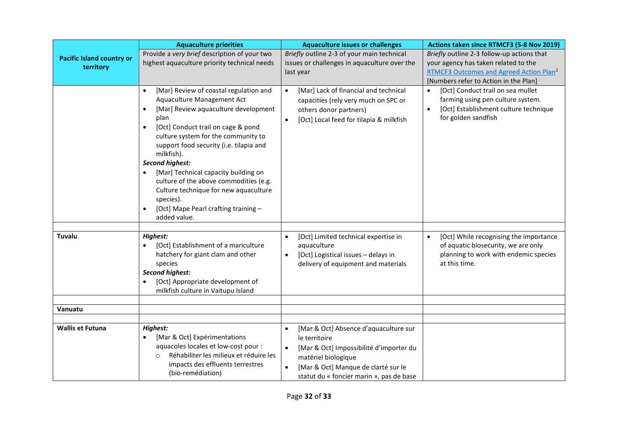|                                  | <b>Aquaculture priorities</b>                                                                                                                                                                                                                                                                                                                                                                                                                                                                                                                         | <b>Aquaculture issues or challenges</b>                                                                                                                                                                                               | Actions taken since RTMCF3 (5-8 Nov 2019)                                                                                               |
|----------------------------------|-------------------------------------------------------------------------------------------------------------------------------------------------------------------------------------------------------------------------------------------------------------------------------------------------------------------------------------------------------------------------------------------------------------------------------------------------------------------------------------------------------------------------------------------------------|---------------------------------------------------------------------------------------------------------------------------------------------------------------------------------------------------------------------------------------|-----------------------------------------------------------------------------------------------------------------------------------------|
| <b>Pacific Island country or</b> | Provide a very brief description of your two<br>highest aquaculture priority technical needs                                                                                                                                                                                                                                                                                                                                                                                                                                                          | Briefly outline 2-3 of your main technical<br>issues or challenges in aquaculture over the                                                                                                                                            | Briefly outline 2-3 follow-up actions that<br>your agency has taken related to the                                                      |
| territory                        |                                                                                                                                                                                                                                                                                                                                                                                                                                                                                                                                                       | last year                                                                                                                                                                                                                             | RTMCF3 Outcomes and Agreed Action Plan <sup>2</sup><br>[Numbers refer to Action in the Plan]                                            |
|                                  | [Mar] Review of coastal regulation and<br>$\bullet$<br>Aquaculture Management Act<br>[Mar] Review aquaculture development<br>$\bullet$<br>plan<br>[Oct] Conduct trail on cage & pond<br>$\bullet$<br>culture system for the community to<br>support food security (i.e. tilapia and<br>milkfish).<br><b>Second highest:</b><br>[Mar] Technical capacity building on<br>$\bullet$<br>culture of the above commodities (e.g.<br>Culture technique for new aquaculture<br>species).<br>[Oct] Mape Pearl crafting training -<br>$\bullet$<br>added value. | [Mar] Lack of financial and technical<br>$\bullet$<br>capacities (rely very much on SPC or<br>others donor partners)<br>[Oct] Local feed for tilapia & milkfish<br>$\bullet$                                                          | [Oct] Conduct trail on sea mullet<br>farming using pen culture system.<br>[Oct] Establishment culture technique<br>for golden sandfish  |
| Tuvalu                           | <b>Highest:</b><br>[Oct] Establishment of a mariculture<br>$\bullet$<br>hatchery for giant clam and other<br>species<br><b>Second highest:</b><br>[Oct] Appropriate development of<br>milkfish culture in Vaitupu Island                                                                                                                                                                                                                                                                                                                              | [Oct] Limited technical expertise in<br>$\bullet$<br>aquaculture<br>[Oct] Logistical issues - delays in<br>$\bullet$<br>delivery of equipment and materials                                                                           | [Oct] While recognising the importance<br>of aquatic biosecurity, we are only<br>planning to work with endemic species<br>at this time. |
| Vanuatu                          |                                                                                                                                                                                                                                                                                                                                                                                                                                                                                                                                                       |                                                                                                                                                                                                                                       |                                                                                                                                         |
|                                  |                                                                                                                                                                                                                                                                                                                                                                                                                                                                                                                                                       |                                                                                                                                                                                                                                       |                                                                                                                                         |
| <b>Wallis et Futuna</b>          | <b>Highest:</b><br>[Mar & Oct] Expérimentations<br>$\bullet$<br>aquacoles locales et low-cost pour :<br>Réhabiliter les milieux et réduire les<br>$\Omega$<br>impacts des effluents terrestres<br>(bio-remédiation)                                                                                                                                                                                                                                                                                                                                   | [Mar & Oct] Absence d'aquaculture sur<br>$\bullet$<br>le territoire<br>[Mar & Oct] Impossibilité d'importer du<br>$\bullet$<br>matériel biologique<br>[Mar & Oct] Manque de clarté sur le<br>statut du « foncier marin », pas de base |                                                                                                                                         |